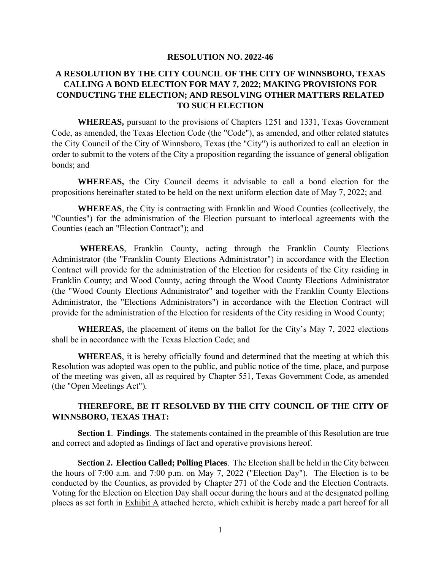#### **RESOLUTION NO. 2022-46**

### **A RESOLUTION BY THE CITY COUNCIL OF THE CITY OF WINNSBORO, TEXAS CALLING A BOND ELECTION FOR MAY 7, 2022; MAKING PROVISIONS FOR CONDUCTING THE ELECTION; AND RESOLVING OTHER MATTERS RELATED TO SUCH ELECTION**

**WHEREAS,** pursuant to the provisions of Chapters 1251 and 1331, Texas Government Code, as amended, the Texas Election Code (the "Code"), as amended, and other related statutes the City Council of the City of Winnsboro, Texas (the "City") is authorized to call an election in order to submit to the voters of the City a proposition regarding the issuance of general obligation bonds; and

**WHEREAS,** the City Council deems it advisable to call a bond election for the propositions hereinafter stated to be held on the next uniform election date of May 7, 2022; and

**WHEREAS**, the City is contracting with Franklin and Wood Counties (collectively, the "Counties") for the administration of the Election pursuant to interlocal agreements with the Counties (each an "Election Contract"); and

**WHEREAS**, Franklin County, acting through the Franklin County Elections Administrator (the "Franklin County Elections Administrator") in accordance with the Election Contract will provide for the administration of the Election for residents of the City residing in Franklin County; and Wood County, acting through the Wood County Elections Administrator (the "Wood County Elections Administrator" and together with the Franklin County Elections Administrator, the "Elections Administrators") in accordance with the Election Contract will provide for the administration of the Election for residents of the City residing in Wood County;

**WHEREAS,** the placement of items on the ballot for the City's May 7, 2022 elections shall be in accordance with the Texas Election Code; and

**WHEREAS**, it is hereby officially found and determined that the meeting at which this Resolution was adopted was open to the public, and public notice of the time, place, and purpose of the meeting was given, all as required by Chapter 551, Texas Government Code, as amended (the "Open Meetings Act")*.* 

#### **THEREFORE, BE IT RESOLVED BY THE CITY COUNCIL OF THE CITY OF WINNSBORO, TEXAS THAT:**

**Section 1**. **Findings**. The statements contained in the preamble of this Resolution are true and correct and adopted as findings of fact and operative provisions hereof.

**Section 2. Election Called; Polling Places**. The Election shall be held in the City between the hours of 7:00 a.m. and 7:00 p.m. on May 7, 2022 ("Election Day"). The Election is to be conducted by the Counties, as provided by Chapter 271 of the Code and the Election Contracts. Voting for the Election on Election Day shall occur during the hours and at the designated polling places as set forth in Exhibit A attached hereto, which exhibit is hereby made a part hereof for all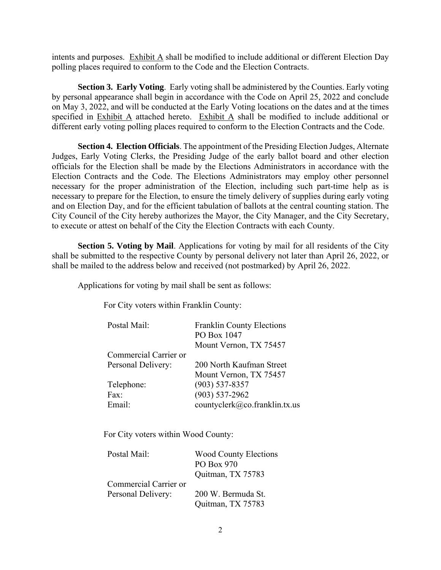intents and purposes. Exhibit A shall be modified to include additional or different Election Day polling places required to conform to the Code and the Election Contracts.

**Section 3. Early Voting**. Early voting shall be administered by the Counties. Early voting by personal appearance shall begin in accordance with the Code on April 25, 2022 and conclude on May 3, 2022, and will be conducted at the Early Voting locations on the dates and at the times specified in Exhibit A attached hereto. Exhibit A shall be modified to include additional or different early voting polling places required to conform to the Election Contracts and the Code.

**Section 4. Election Officials**. The appointment of the Presiding Election Judges, Alternate Judges, Early Voting Clerks, the Presiding Judge of the early ballot board and other election officials for the Election shall be made by the Elections Administrators in accordance with the Election Contracts and the Code. The Elections Administrators may employ other personnel necessary for the proper administration of the Election, including such part-time help as is necessary to prepare for the Election, to ensure the timely delivery of supplies during early voting and on Election Day, and for the efficient tabulation of ballots at the central counting station. The City Council of the City hereby authorizes the Mayor, the City Manager, and the City Secretary, to execute or attest on behalf of the City the Election Contracts with each County.

**Section 5. Voting by Mail**. Applications for voting by mail for all residents of the City shall be submitted to the respective County by personal delivery not later than April 26, 2022, or shall be mailed to the address below and received (not postmarked) by April 26, 2022.

Applications for voting by mail shall be sent as follows:

For City voters within Franklin County:

| Postal Mail:          | <b>Franklin County Elections</b> |
|-----------------------|----------------------------------|
|                       | PO Box 1047                      |
|                       | Mount Vernon, TX 75457           |
| Commercial Carrier or |                                  |
| Personal Delivery:    | 200 North Kaufman Street         |
|                       | Mount Vernon, TX 75457           |
| Telephone:            | $(903) 537 - 8357$               |
| Fax:                  | $(903) 537 - 2962$               |
| Email:                | countyclerk@co.franklin.tx.us    |

For City voters within Wood County:

| Postal Mail:          | <b>Wood County Elections</b> |
|-----------------------|------------------------------|
|                       | PO Box 970                   |
|                       | Quitman, TX 75783            |
| Commercial Carrier or |                              |
| Personal Delivery:    | 200 W. Bermuda St.           |
|                       | Quitman, TX 75783            |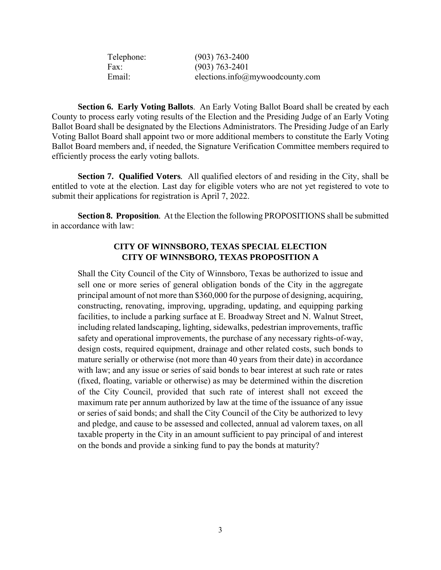| Telephone: | $(903) 763 - 2400$              |
|------------|---------------------------------|
| Fax:       | $(903) 763 - 2401$              |
| Email:     | elections.info@mywoodcounty.com |

**Section 6. Early Voting Ballots**. An Early Voting Ballot Board shall be created by each County to process early voting results of the Election and the Presiding Judge of an Early Voting Ballot Board shall be designated by the Elections Administrators. The Presiding Judge of an Early Voting Ballot Board shall appoint two or more additional members to constitute the Early Voting Ballot Board members and, if needed, the Signature Verification Committee members required to efficiently process the early voting ballots.

**Section 7. Qualified Voters***.* All qualified electors of and residing in the City, shall be entitled to vote at the election. Last day for eligible voters who are not yet registered to vote to submit their applications for registration is April 7, 2022.

**Section 8. Proposition***.* At the Election the following PROPOSITIONS shall be submitted in accordance with law:

#### **CITY OF WINNSBORO, TEXAS SPECIAL ELECTION CITY OF WINNSBORO, TEXAS PROPOSITION A**

Shall the City Council of the City of Winnsboro, Texas be authorized to issue and sell one or more series of general obligation bonds of the City in the aggregate principal amount of not more than \$360,000 for the purpose of designing, acquiring, constructing, renovating, improving, upgrading, updating, and equipping parking facilities, to include a parking surface at E. Broadway Street and N. Walnut Street, including related landscaping, lighting, sidewalks, pedestrian improvements, traffic safety and operational improvements, the purchase of any necessary rights-of-way, design costs, required equipment, drainage and other related costs, such bonds to mature serially or otherwise (not more than 40 years from their date) in accordance with law; and any issue or series of said bonds to bear interest at such rate or rates (fixed, floating, variable or otherwise) as may be determined within the discretion of the City Council, provided that such rate of interest shall not exceed the maximum rate per annum authorized by law at the time of the issuance of any issue or series of said bonds; and shall the City Council of the City be authorized to levy and pledge, and cause to be assessed and collected, annual ad valorem taxes, on all taxable property in the City in an amount sufficient to pay principal of and interest on the bonds and provide a sinking fund to pay the bonds at maturity?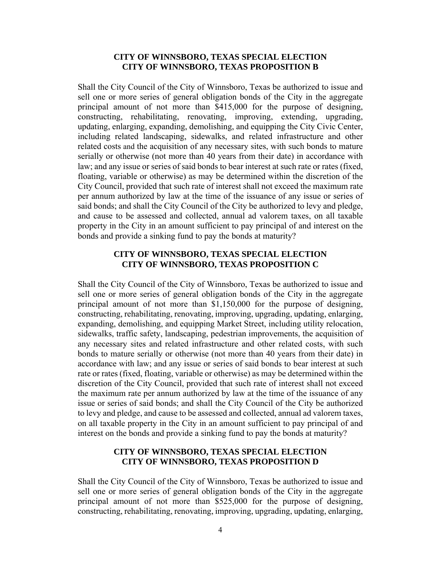#### **CITY OF WINNSBORO, TEXAS SPECIAL ELECTION CITY OF WINNSBORO, TEXAS PROPOSITION B**

Shall the City Council of the City of Winnsboro, Texas be authorized to issue and sell one or more series of general obligation bonds of the City in the aggregate principal amount of not more than \$415,000 for the purpose of designing, constructing, rehabilitating, renovating, improving, extending, upgrading, updating, enlarging, expanding, demolishing, and equipping the City Civic Center, including related landscaping, sidewalks, and related infrastructure and other related costs and the acquisition of any necessary sites, with such bonds to mature serially or otherwise (not more than 40 years from their date) in accordance with law; and any issue or series of said bonds to bear interest at such rate or rates (fixed, floating, variable or otherwise) as may be determined within the discretion of the City Council, provided that such rate of interest shall not exceed the maximum rate per annum authorized by law at the time of the issuance of any issue or series of said bonds; and shall the City Council of the City be authorized to levy and pledge, and cause to be assessed and collected, annual ad valorem taxes, on all taxable property in the City in an amount sufficient to pay principal of and interest on the bonds and provide a sinking fund to pay the bonds at maturity?

#### **CITY OF WINNSBORO, TEXAS SPECIAL ELECTION CITY OF WINNSBORO, TEXAS PROPOSITION C**

Shall the City Council of the City of Winnsboro, Texas be authorized to issue and sell one or more series of general obligation bonds of the City in the aggregate principal amount of not more than \$1,150,000 for the purpose of designing, constructing, rehabilitating, renovating, improving, upgrading, updating, enlarging, expanding, demolishing, and equipping Market Street, including utility relocation, sidewalks, traffic safety, landscaping, pedestrian improvements, the acquisition of any necessary sites and related infrastructure and other related costs, with such bonds to mature serially or otherwise (not more than 40 years from their date) in accordance with law; and any issue or series of said bonds to bear interest at such rate or rates (fixed, floating, variable or otherwise) as may be determined within the discretion of the City Council, provided that such rate of interest shall not exceed the maximum rate per annum authorized by law at the time of the issuance of any issue or series of said bonds; and shall the City Council of the City be authorized to levy and pledge, and cause to be assessed and collected, annual ad valorem taxes, on all taxable property in the City in an amount sufficient to pay principal of and interest on the bonds and provide a sinking fund to pay the bonds at maturity?

#### **CITY OF WINNSBORO, TEXAS SPECIAL ELECTION CITY OF WINNSBORO, TEXAS PROPOSITION D**

Shall the City Council of the City of Winnsboro, Texas be authorized to issue and sell one or more series of general obligation bonds of the City in the aggregate principal amount of not more than \$525,000 for the purpose of designing, constructing, rehabilitating, renovating, improving, upgrading, updating, enlarging,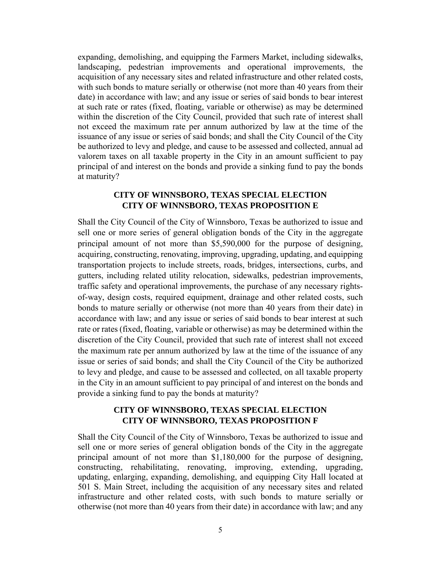expanding, demolishing, and equipping the Farmers Market, including sidewalks, landscaping, pedestrian improvements and operational improvements, the acquisition of any necessary sites and related infrastructure and other related costs, with such bonds to mature serially or otherwise (not more than 40 years from their date) in accordance with law; and any issue or series of said bonds to bear interest at such rate or rates (fixed, floating, variable or otherwise) as may be determined within the discretion of the City Council, provided that such rate of interest shall not exceed the maximum rate per annum authorized by law at the time of the issuance of any issue or series of said bonds; and shall the City Council of the City be authorized to levy and pledge, and cause to be assessed and collected, annual ad valorem taxes on all taxable property in the City in an amount sufficient to pay principal of and interest on the bonds and provide a sinking fund to pay the bonds at maturity?

#### **CITY OF WINNSBORO, TEXAS SPECIAL ELECTION CITY OF WINNSBORO, TEXAS PROPOSITION E**

Shall the City Council of the City of Winnsboro, Texas be authorized to issue and sell one or more series of general obligation bonds of the City in the aggregate principal amount of not more than \$5,590,000 for the purpose of designing, acquiring, constructing, renovating, improving, upgrading, updating, and equipping transportation projects to include streets, roads, bridges, intersections, curbs, and gutters, including related utility relocation, sidewalks, pedestrian improvements, traffic safety and operational improvements, the purchase of any necessary rightsof-way, design costs, required equipment, drainage and other related costs, such bonds to mature serially or otherwise (not more than 40 years from their date) in accordance with law; and any issue or series of said bonds to bear interest at such rate or rates (fixed, floating, variable or otherwise) as may be determined within the discretion of the City Council, provided that such rate of interest shall not exceed the maximum rate per annum authorized by law at the time of the issuance of any issue or series of said bonds; and shall the City Council of the City be authorized to levy and pledge, and cause to be assessed and collected, on all taxable property in the City in an amount sufficient to pay principal of and interest on the bonds and provide a sinking fund to pay the bonds at maturity?

#### **CITY OF WINNSBORO, TEXAS SPECIAL ELECTION CITY OF WINNSBORO, TEXAS PROPOSITION F**

Shall the City Council of the City of Winnsboro, Texas be authorized to issue and sell one or more series of general obligation bonds of the City in the aggregate principal amount of not more than \$1,180,000 for the purpose of designing, constructing, rehabilitating, renovating, improving, extending, upgrading, updating, enlarging, expanding, demolishing, and equipping City Hall located at 501 S. Main Street, including the acquisition of any necessary sites and related infrastructure and other related costs, with such bonds to mature serially or otherwise (not more than 40 years from their date) in accordance with law; and any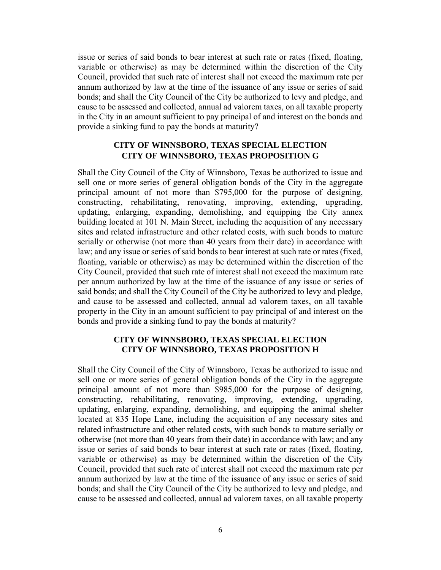issue or series of said bonds to bear interest at such rate or rates (fixed, floating, variable or otherwise) as may be determined within the discretion of the City Council, provided that such rate of interest shall not exceed the maximum rate per annum authorized by law at the time of the issuance of any issue or series of said bonds; and shall the City Council of the City be authorized to levy and pledge, and cause to be assessed and collected, annual ad valorem taxes, on all taxable property in the City in an amount sufficient to pay principal of and interest on the bonds and provide a sinking fund to pay the bonds at maturity?

#### **CITY OF WINNSBORO, TEXAS SPECIAL ELECTION CITY OF WINNSBORO, TEXAS PROPOSITION G**

Shall the City Council of the City of Winnsboro, Texas be authorized to issue and sell one or more series of general obligation bonds of the City in the aggregate principal amount of not more than \$795,000 for the purpose of designing, constructing, rehabilitating, renovating, improving, extending, upgrading, updating, enlarging, expanding, demolishing, and equipping the City annex building located at 101 N. Main Street, including the acquisition of any necessary sites and related infrastructure and other related costs, with such bonds to mature serially or otherwise (not more than 40 years from their date) in accordance with law; and any issue or series of said bonds to bear interest at such rate or rates (fixed, floating, variable or otherwise) as may be determined within the discretion of the City Council, provided that such rate of interest shall not exceed the maximum rate per annum authorized by law at the time of the issuance of any issue or series of said bonds; and shall the City Council of the City be authorized to levy and pledge, and cause to be assessed and collected, annual ad valorem taxes, on all taxable property in the City in an amount sufficient to pay principal of and interest on the bonds and provide a sinking fund to pay the bonds at maturity?

#### **CITY OF WINNSBORO, TEXAS SPECIAL ELECTION CITY OF WINNSBORO, TEXAS PROPOSITION H**

Shall the City Council of the City of Winnsboro, Texas be authorized to issue and sell one or more series of general obligation bonds of the City in the aggregate principal amount of not more than \$985,000 for the purpose of designing, constructing, rehabilitating, renovating, improving, extending, upgrading, updating, enlarging, expanding, demolishing, and equipping the animal shelter located at 835 Hope Lane, including the acquisition of any necessary sites and related infrastructure and other related costs, with such bonds to mature serially or otherwise (not more than 40 years from their date) in accordance with law; and any issue or series of said bonds to bear interest at such rate or rates (fixed, floating, variable or otherwise) as may be determined within the discretion of the City Council, provided that such rate of interest shall not exceed the maximum rate per annum authorized by law at the time of the issuance of any issue or series of said bonds; and shall the City Council of the City be authorized to levy and pledge, and cause to be assessed and collected, annual ad valorem taxes, on all taxable property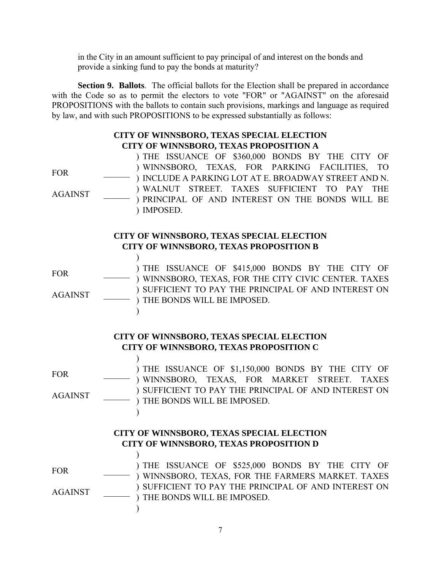in the City in an amount sufficient to pay principal of and interest on the bonds and provide a sinking fund to pay the bonds at maturity?

**Section 9. Ballots**. The official ballots for the Election shall be prepared in accordance with the Code so as to permit the electors to vote "FOR" or "AGAINST" on the aforesaid PROPOSITIONS with the ballots to contain such provisions, markings and language as required by law, and with such PROPOSITIONS to be expressed substantially as follows:

#### **CITY OF WINNSBORO, TEXAS SPECIAL ELECTION CITY OF WINNSBORO, TEXAS PROPOSITION A**

 $FOR$ AGAINST \_\_\_\_\_\_ ) THE ISSUANCE OF \$360,000 BONDS BY THE CITY OF ) WINNSBORO, TEXAS, FOR PARKING FACILITIES, TO ) INCLUDE A PARKING LOT AT E. BROADWAY STREET AND N. ) WALNUT STREET. TAXES SUFFICIENT TO PAY THE ) PRINCIPAL OF AND INTEREST ON THE BONDS WILL BE ) IMPOSED.

## **CITY OF WINNSBORO, TEXAS SPECIAL ELECTION CITY OF WINNSBORO, TEXAS PROPOSITION B**

FOR \_\_\_\_\_\_ AGAINST \_\_\_\_\_\_  $\lambda$ ) THE ISSUANCE OF \$415,000 BONDS BY THE CITY OF ) WINNSBORO, TEXAS, FOR THE CITY CIVIC CENTER. TAXES ) SUFFICIENT TO PAY THE PRINCIPAL OF AND INTEREST ON ) THE BONDS WILL BE IMPOSED.  $\lambda$ 

> **CITY OF WINNSBORO, TEXAS SPECIAL ELECTION CITY OF WINNSBORO, TEXAS PROPOSITION C**

 $FOR$ AGAINST \_\_\_\_\_\_ ) THE ISSUANCE OF \$1,150,000 BONDS BY THE CITY OF ) WINNSBORO, TEXAS, FOR MARKET STREET. TAXES ) SUFFICIENT TO PAY THE PRINCIPAL OF AND INTEREST ON ) THE BONDS WILL BE IMPOSED.

## **CITY OF WINNSBORO, TEXAS SPECIAL ELECTION CITY OF WINNSBORO, TEXAS PROPOSITION D**

 $FOR$ 

AGAINST \_\_\_\_\_\_

 $\lambda$ 

 $\mathcal{L}$ 

 $\mathcal{L}$ 

) THE ISSUANCE OF \$525,000 BONDS BY THE CITY OF ) WINNSBORO, TEXAS, FOR THE FARMERS MARKET. TAXES ) SUFFICIENT TO PAY THE PRINCIPAL OF AND INTEREST ON ) THE BONDS WILL BE IMPOSED.  $\lambda$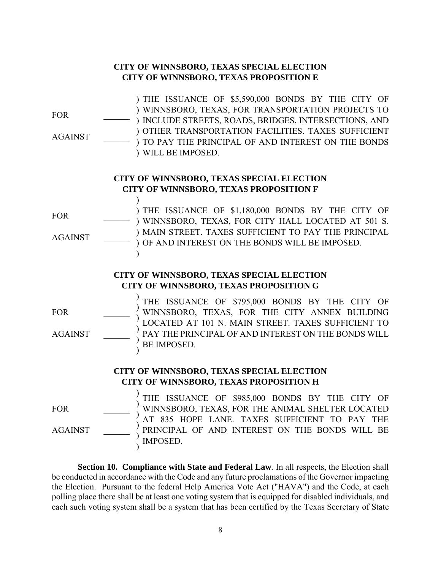## **CITY OF WINNSBORO, TEXAS SPECIAL ELECTION CITY OF WINNSBORO, TEXAS PROPOSITION E**

FOR \_\_\_\_\_\_ AGAINST \_\_\_\_\_\_ ) THE ISSUANCE OF \$5,590,000 BONDS BY THE CITY OF ) WINNSBORO, TEXAS, FOR TRANSPORTATION PROJECTS TO ) INCLUDE STREETS, ROADS, BRIDGES, INTERSECTIONS, AND ) OTHER TRANSPORTATION FACILITIES. TAXES SUFFICIENT ) TO PAY THE PRINCIPAL OF AND INTEREST ON THE BONDS ) WILL BE IMPOSED.

## **CITY OF WINNSBORO, TEXAS SPECIAL ELECTION CITY OF WINNSBORO, TEXAS PROPOSITION F**

 $FOR$ 

AGAINST \_\_\_\_\_\_

 $\lambda$ 

) THE ISSUANCE OF \$1,180,000 BONDS BY THE CITY OF ) WINNSBORO, TEXAS, FOR CITY HALL LOCATED AT 501 S. ) MAIN STREET. TAXES SUFFICIENT TO PAY THE PRINCIPAL ) OF AND INTEREST ON THE BONDS WILL BE IMPOSED. )

## **CITY OF WINNSBORO, TEXAS SPECIAL ELECTION CITY OF WINNSBORO, TEXAS PROPOSITION G**

FOR \_\_\_\_\_\_

AGAINST \_\_\_\_\_\_

) ) ) ) ) ) THE ISSUANCE OF \$795,000 BONDS BY THE CITY OF WINNSBORO, TEXAS, FOR THE CITY ANNEX BUILDING LOCATED AT 101 N. MAIN STREET. TAXES SUFFICIENT TO PAY THE PRINCIPAL OF AND INTEREST ON THE BONDS WILL BE IMPOSED.

## **CITY OF WINNSBORO, TEXAS SPECIAL ELECTION CITY OF WINNSBORO, TEXAS PROPOSITION H**

 $FOR$ 

AGAINST \_\_\_\_\_\_

) ) ) ) ) ) THE ISSUANCE OF \$985,000 BONDS BY THE CITY OF WINNSBORO, TEXAS, FOR THE ANIMAL SHELTER LOCATED AT 835 HOPE LANE. TAXES SUFFICIENT TO PAY THE PRINCIPAL OF AND INTEREST ON THE BONDS WILL BE IMPOSED.

**Section 10. Compliance with State and Federal Law***.* In all respects, the Election shall be conducted in accordance with the Code and any future proclamations of the Governor impacting the Election. Pursuant to the federal Help America Vote Act ("HAVA") and the Code, at each polling place there shall be at least one voting system that is equipped for disabled individuals, and each such voting system shall be a system that has been certified by the Texas Secretary of State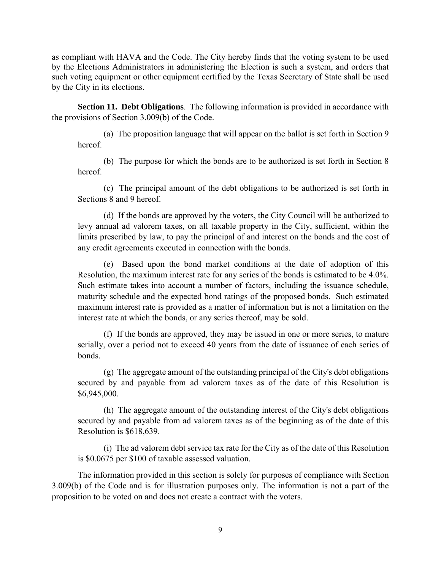as compliant with HAVA and the Code. The City hereby finds that the voting system to be used by the Elections Administrators in administering the Election is such a system, and orders that such voting equipment or other equipment certified by the Texas Secretary of State shall be used by the City in its elections.

**Section 11. Debt Obligations**. The following information is provided in accordance with the provisions of Section 3.009(b) of the Code.

(a) The proposition language that will appear on the ballot is set forth in Section 9 hereof.

(b) The purpose for which the bonds are to be authorized is set forth in Section 8 hereof.

(c) The principal amount of the debt obligations to be authorized is set forth in Sections 8 and 9 hereof.

(d) If the bonds are approved by the voters, the City Council will be authorized to levy annual ad valorem taxes, on all taxable property in the City, sufficient, within the limits prescribed by law, to pay the principal of and interest on the bonds and the cost of any credit agreements executed in connection with the bonds.

(e) Based upon the bond market conditions at the date of adoption of this Resolution, the maximum interest rate for any series of the bonds is estimated to be 4.0%. Such estimate takes into account a number of factors, including the issuance schedule, maturity schedule and the expected bond ratings of the proposed bonds. Such estimated maximum interest rate is provided as a matter of information but is not a limitation on the interest rate at which the bonds, or any series thereof, may be sold.

(f) If the bonds are approved, they may be issued in one or more series, to mature serially, over a period not to exceed 40 years from the date of issuance of each series of bonds.

(g) The aggregate amount of the outstanding principal of the City's debt obligations secured by and payable from ad valorem taxes as of the date of this Resolution is \$6,945,000.

(h) The aggregate amount of the outstanding interest of the City's debt obligations secured by and payable from ad valorem taxes as of the beginning as of the date of this Resolution is \$618,639.

(i) The ad valorem debt service tax rate for the City as of the date of this Resolution is \$0.0675 per \$100 of taxable assessed valuation.

The information provided in this section is solely for purposes of compliance with Section 3.009(b) of the Code and is for illustration purposes only. The information is not a part of the proposition to be voted on and does not create a contract with the voters.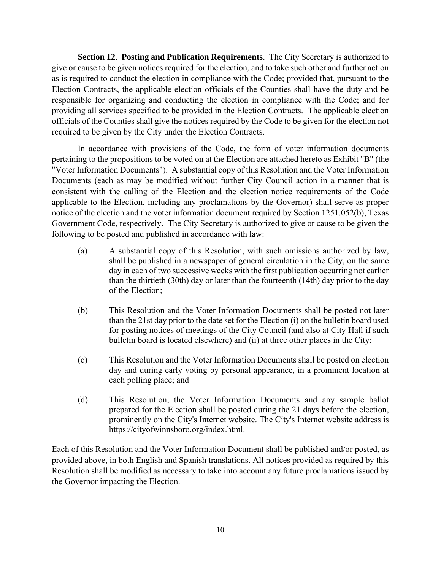**Section 12**. **Posting and Publication Requirements**. The City Secretary is authorized to give or cause to be given notices required for the election, and to take such other and further action as is required to conduct the election in compliance with the Code; provided that, pursuant to the Election Contracts, the applicable election officials of the Counties shall have the duty and be responsible for organizing and conducting the election in compliance with the Code; and for providing all services specified to be provided in the Election Contracts. The applicable election officials of the Counties shall give the notices required by the Code to be given for the election not required to be given by the City under the Election Contracts.

In accordance with provisions of the Code, the form of voter information documents pertaining to the propositions to be voted on at the Election are attached hereto as Exhibit "B" (the "Voter Information Documents"). A substantial copy of this Resolution and the Voter Information Documents (each as may be modified without further City Council action in a manner that is consistent with the calling of the Election and the election notice requirements of the Code applicable to the Election, including any proclamations by the Governor) shall serve as proper notice of the election and the voter information document required by Section 1251.052(b), Texas Government Code, respectively. The City Secretary is authorized to give or cause to be given the following to be posted and published in accordance with law:

- (a) A substantial copy of this Resolution, with such omissions authorized by law, shall be published in a newspaper of general circulation in the City, on the same day in each of two successive weeks with the first publication occurring not earlier than the thirtieth (30th) day or later than the fourteenth (14th) day prior to the day of the Election;
- (b) This Resolution and the Voter Information Documents shall be posted not later than the 21st day prior to the date set for the Election (i) on the bulletin board used for posting notices of meetings of the City Council (and also at City Hall if such bulletin board is located elsewhere) and (ii) at three other places in the City;
- (c) This Resolution and the Voter Information Documents shall be posted on election day and during early voting by personal appearance, in a prominent location at each polling place; and
- (d) This Resolution, the Voter Information Documents and any sample ballot prepared for the Election shall be posted during the 21 days before the election, prominently on the City's Internet website. The City's Internet website address is https://cityofwinnsboro.org/index.html.

Each of this Resolution and the Voter Information Document shall be published and/or posted, as provided above, in both English and Spanish translations. All notices provided as required by this Resolution shall be modified as necessary to take into account any future proclamations issued by the Governor impacting the Election.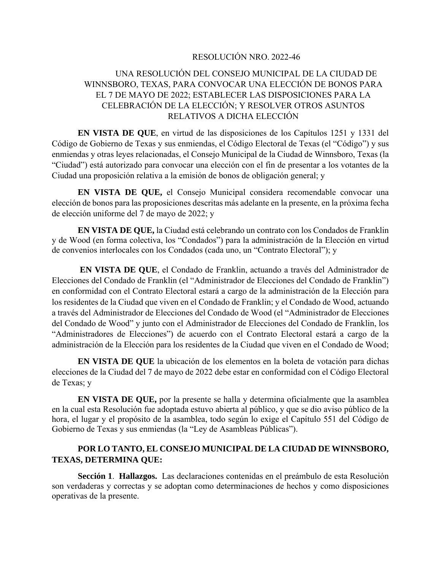#### RESOLUCIÓN NRO. 2022-46

## UNA RESOLUCIÓN DEL CONSEJO MUNICIPAL DE LA CIUDAD DE WINNSBORO, TEXAS, PARA CONVOCAR UNA ELECCIÓN DE BONOS PARA EL 7 DE MAYO DE 2022; ESTABLECER LAS DISPOSICIONES PARA LA CELEBRACIÓN DE LA ELECCIÓN; Y RESOLVER OTROS ASUNTOS RELATIVOS A DICHA ELECCIÓN

**EN VISTA DE QUE**, en virtud de las disposiciones de los Capítulos 1251 y 1331 del Código de Gobierno de Texas y sus enmiendas, el Código Electoral de Texas (el "Código") y sus enmiendas y otras leyes relacionadas, el Consejo Municipal de la Ciudad de Winnsboro, Texas (la "Ciudad") está autorizado para convocar una elección con el fin de presentar a los votantes de la Ciudad una proposición relativa a la emisión de bonos de obligación general; y

**EN VISTA DE QUE,** el Consejo Municipal considera recomendable convocar una elección de bonos para las proposiciones descritas más adelante en la presente, en la próxima fecha de elección uniforme del 7 de mayo de 2022; y

**EN VISTA DE QUE,** la Ciudad está celebrando un contrato con los Condados de Franklin y de Wood (en forma colectiva, los "Condados") para la administración de la Elección en virtud de convenios interlocales con los Condados (cada uno, un "Contrato Electoral"); y

**EN VISTA DE QUE**, el Condado de Franklin, actuando a través del Administrador de Elecciones del Condado de Franklin (el "Administrador de Elecciones del Condado de Franklin") en conformidad con el Contrato Electoral estará a cargo de la administración de la Elección para los residentes de la Ciudad que viven en el Condado de Franklin; y el Condado de Wood, actuando a través del Administrador de Elecciones del Condado de Wood (el "Administrador de Elecciones del Condado de Wood" y junto con el Administrador de Elecciones del Condado de Franklin, los "Administradores de Elecciones") de acuerdo con el Contrato Electoral estará a cargo de la administración de la Elección para los residentes de la Ciudad que viven en el Condado de Wood;

**EN VISTA DE QUE** la ubicación de los elementos en la boleta de votación para dichas elecciones de la Ciudad del 7 de mayo de 2022 debe estar en conformidad con el Código Electoral de Texas; y

**EN VISTA DE QUE,** por la presente se halla y determina oficialmente que la asamblea en la cual esta Resolución fue adoptada estuvo abierta al público, y que se dio aviso público de la hora, el lugar y el propósito de la asamblea, todo según lo exige el Capítulo 551 del Código de Gobierno de Texas y sus enmiendas (la "Ley de Asambleas Públicas").

#### **POR LO TANTO, EL CONSEJO MUNICIPAL DE LA CIUDAD DE WINNSBORO, TEXAS, DETERMINA QUE:**

**Sección 1**. **Hallazgos.** Las declaraciones contenidas en el preámbulo de esta Resolución son verdaderas y correctas y se adoptan como determinaciones de hechos y como disposiciones operativas de la presente.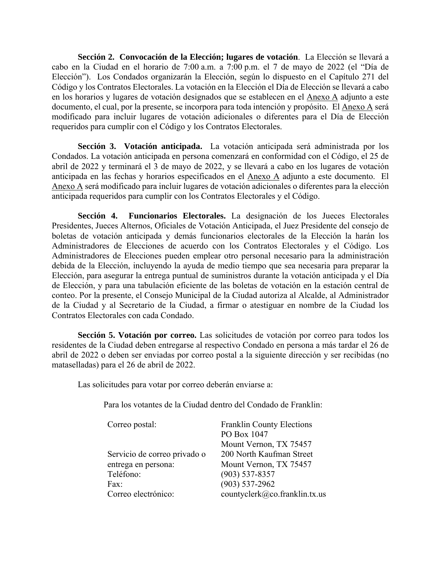**Sección 2. Convocación de la Elección; lugares de votación**. La Elección se llevará a cabo en la Ciudad en el horario de 7:00 a.m. a 7:00 p.m. el 7 de mayo de 2022 (el "Día de Elección"). Los Condados organizarán la Elección, según lo dispuesto en el Capítulo 271 del Código y los Contratos Electorales. La votación en la Elección el Día de Elección se llevará a cabo en los horarios y lugares de votación designados que se establecen en el Anexo A adjunto a este documento, el cual, por la presente, se incorpora para toda intención y propósito. El Anexo A será modificado para incluir lugares de votación adicionales o diferentes para el Día de Elección requeridos para cumplir con el Código y los Contratos Electorales.

**Sección 3. Votación anticipada.** La votación anticipada será administrada por los Condados. La votación anticipada en persona comenzará en conformidad con el Código, el 25 de abril de 2022 y terminará el 3 de mayo de 2022, y se llevará a cabo en los lugares de votación anticipada en las fechas y horarios especificados en el Anexo A adjunto a este documento. El Anexo A será modificado para incluir lugares de votación adicionales o diferentes para la elección anticipada requeridos para cumplir con los Contratos Electorales y el Código.

**Sección 4. Funcionarios Electorales.** La designación de los Jueces Electorales Presidentes, Jueces Alternos, Oficiales de Votación Anticipada, el Juez Presidente del consejo de boletas de votación anticipada y demás funcionarios electorales de la Elección la harán los Administradores de Elecciones de acuerdo con los Contratos Electorales y el Código. Los Administradores de Elecciones pueden emplear otro personal necesario para la administración debida de la Elección, incluyendo la ayuda de medio tiempo que sea necesaria para preparar la Elección, para asegurar la entrega puntual de suministros durante la votación anticipada y el Día de Elección, y para una tabulación eficiente de las boletas de votación en la estación central de conteo. Por la presente, el Consejo Municipal de la Ciudad autoriza al Alcalde, al Administrador de la Ciudad y al Secretario de la Ciudad, a firmar o atestiguar en nombre de la Ciudad los Contratos Electorales con cada Condado.

**Sección 5. Votación por correo.** Las solicitudes de votación por correo para todos los residentes de la Ciudad deben entregarse al respectivo Condado en persona a más tardar el 26 de abril de 2022 o deben ser enviadas por correo postal a la siguiente dirección y ser recibidas (no mataselladas) para el 26 de abril de 2022.

Las solicitudes para votar por correo deberán enviarse a:

Para los votantes de la Ciudad dentro del Condado de Franklin:

| Correo postal:               | <b>Franklin County Elections</b> |
|------------------------------|----------------------------------|
|                              | PO Box 1047                      |
|                              | Mount Vernon, TX 75457           |
| Servicio de correo privado o | 200 North Kaufman Street         |
| entrega en persona:          | Mount Vernon, TX 75457           |
| Teléfono:                    | $(903)$ 537-8357                 |
| Fax:                         | $(903)$ 537-2962                 |
| Correo electrónico:          | countyclerk@co.franklin.tx.us    |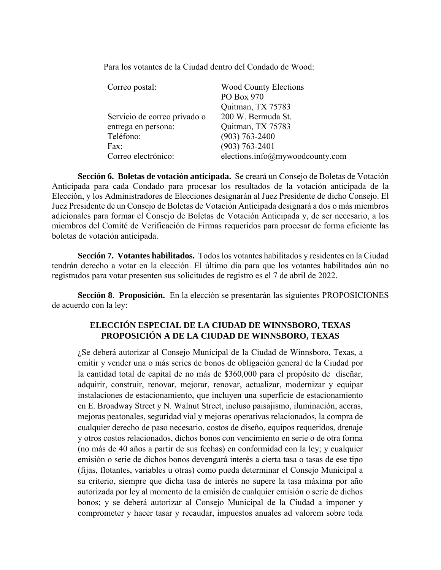Para los votantes de la Ciudad dentro del Condado de Wood:

| Correo postal:               | <b>Wood County Elections</b><br>PO Box 970 |
|------------------------------|--------------------------------------------|
|                              | Quitman, TX 75783                          |
| Servicio de correo privado o | 200 W. Bermuda St.                         |
| entrega en persona:          | Quitman, TX 75783                          |
| Teléfono:                    | $(903) 763 - 2400$                         |
| Fax:                         | $(903) 763 - 2401$                         |
| Correo electrónico:          | elections.info@mywoodcounty.com            |

**Sección 6. Boletas de votación anticipada.** Se creará un Consejo de Boletas de Votación Anticipada para cada Condado para procesar los resultados de la votación anticipada de la Elección, y los Administradores de Elecciones designarán al Juez Presidente de dicho Consejo. El Juez Presidente de un Consejo de Boletas de Votación Anticipada designará a dos o más miembros adicionales para formar el Consejo de Boletas de Votación Anticipada y, de ser necesario, a los miembros del Comité de Verificación de Firmas requeridos para procesar de forma eficiente las boletas de votación anticipada.

**Sección 7. Votantes habilitados.**Todos los votantes habilitados y residentes en la Ciudad tendrán derecho a votar en la elección. El último día para que los votantes habilitados aún no registrados para votar presenten sus solicitudes de registro es el 7 de abril de 2022.

**Sección 8**. **Proposición.** En la elección se presentarán las siguientes PROPOSICIONES de acuerdo con la ley:

## **ELECCIÓN ESPECIAL DE LA CIUDAD DE WINNSBORO, TEXAS PROPOSICIÓN A DE LA CIUDAD DE WINNSBORO, TEXAS**

¿Se deberá autorizar al Consejo Municipal de la Ciudad de Winnsboro, Texas, a emitir y vender una o más series de bonos de obligación general de la Ciudad por la cantidad total de capital de no más de \$360,000 para el propósito de diseñar, adquirir, construir, renovar, mejorar, renovar, actualizar, modernizar y equipar instalaciones de estacionamiento, que incluyen una superficie de estacionamiento en E. Broadway Street y N. Walnut Street, incluso paisajismo, iluminación, aceras, mejoras peatonales, seguridad vial y mejoras operativas relacionados, la compra de cualquier derecho de paso necesario, costos de diseño, equipos requeridos, drenaje y otros costos relacionados, dichos bonos con vencimiento en serie o de otra forma (no más de 40 años a partir de sus fechas) en conformidad con la ley; y cualquier emisión o serie de dichos bonos devengará interés a cierta tasa o tasas de ese tipo (fijas, flotantes, variables u otras) como pueda determinar el Consejo Municipal a su criterio, siempre que dicha tasa de interés no supere la tasa máxima por año autorizada por ley al momento de la emisión de cualquier emisión o serie de dichos bonos; y se deberá autorizar al Consejo Municipal de la Ciudad a imponer y comprometer y hacer tasar y recaudar, impuestos anuales ad valorem sobre toda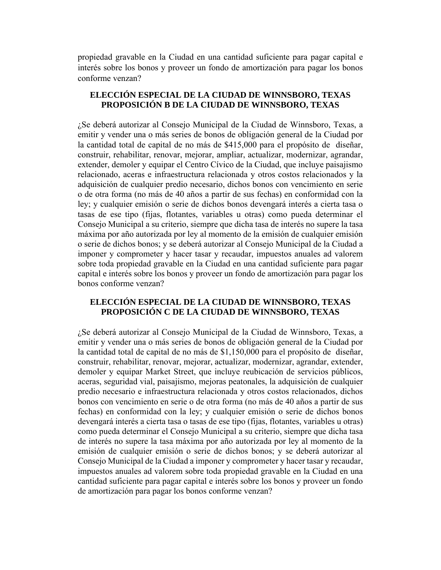propiedad gravable en la Ciudad en una cantidad suficiente para pagar capital e interés sobre los bonos y proveer un fondo de amortización para pagar los bonos conforme venzan?

#### **ELECCIÓN ESPECIAL DE LA CIUDAD DE WINNSBORO, TEXAS PROPOSICIÓN B DE LA CIUDAD DE WINNSBORO, TEXAS**

¿Se deberá autorizar al Consejo Municipal de la Ciudad de Winnsboro, Texas, a emitir y vender una o más series de bonos de obligación general de la Ciudad por la cantidad total de capital de no más de \$415,000 para el propósito de diseñar, construir, rehabilitar, renovar, mejorar, ampliar, actualizar, modernizar, agrandar, extender, demoler y equipar el Centro Cívico de la Ciudad, que incluye paisajismo relacionado, aceras e infraestructura relacionada y otros costos relacionados y la adquisición de cualquier predio necesario, dichos bonos con vencimiento en serie o de otra forma (no más de 40 años a partir de sus fechas) en conformidad con la ley; y cualquier emisión o serie de dichos bonos devengará interés a cierta tasa o tasas de ese tipo (fijas, flotantes, variables u otras) como pueda determinar el Consejo Municipal a su criterio, siempre que dicha tasa de interés no supere la tasa máxima por año autorizada por ley al momento de la emisión de cualquier emisión o serie de dichos bonos; y se deberá autorizar al Consejo Municipal de la Ciudad a imponer y comprometer y hacer tasar y recaudar, impuestos anuales ad valorem sobre toda propiedad gravable en la Ciudad en una cantidad suficiente para pagar capital e interés sobre los bonos y proveer un fondo de amortización para pagar los bonos conforme venzan?

## **ELECCIÓN ESPECIAL DE LA CIUDAD DE WINNSBORO, TEXAS PROPOSICIÓN C DE LA CIUDAD DE WINNSBORO, TEXAS**

¿Se deberá autorizar al Consejo Municipal de la Ciudad de Winnsboro, Texas, a emitir y vender una o más series de bonos de obligación general de la Ciudad por la cantidad total de capital de no más de \$1,150,000 para el propósito de diseñar, construir, rehabilitar, renovar, mejorar, actualizar, modernizar, agrandar, extender, demoler y equipar Market Street, que incluye reubicación de servicios públicos, aceras, seguridad vial, paisajismo, mejoras peatonales, la adquisición de cualquier predio necesario e infraestructura relacionada y otros costos relacionados, dichos bonos con vencimiento en serie o de otra forma (no más de 40 años a partir de sus fechas) en conformidad con la ley; y cualquier emisión o serie de dichos bonos devengará interés a cierta tasa o tasas de ese tipo (fijas, flotantes, variables u otras) como pueda determinar el Consejo Municipal a su criterio, siempre que dicha tasa de interés no supere la tasa máxima por año autorizada por ley al momento de la emisión de cualquier emisión o serie de dichos bonos; y se deberá autorizar al Consejo Municipal de la Ciudad a imponer y comprometer y hacer tasar y recaudar, impuestos anuales ad valorem sobre toda propiedad gravable en la Ciudad en una cantidad suficiente para pagar capital e interés sobre los bonos y proveer un fondo de amortización para pagar los bonos conforme venzan?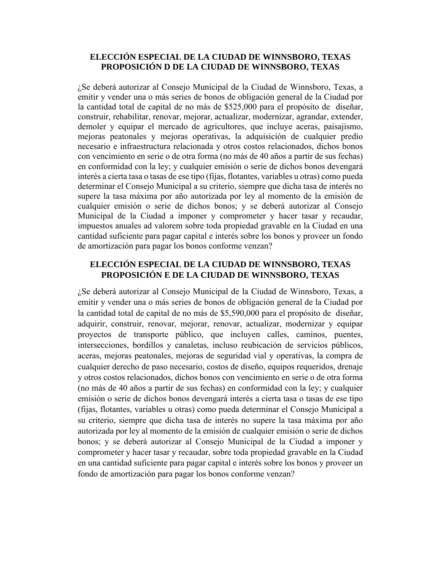#### **ELECCIÓN ESPECIAL DE LA CIUDAD DE WINNSBORO, TEXAS PROPOSICIÓN D DE LA CIUDAD DE WINNSBORO, TEXAS**

¿Se deberá autorizar al Consejo Municipal de la Ciudad de Winnsboro, Texas, a emitir y vender una o más series de bonos de obligación general de la Ciudad por la cantidad total de capital de no más de \$525,000 para el propósito de diseñar, construir, rehabilitar, renovar, mejorar, actualizar, modernizar, agrandar, extender, demoler y equipar el mercado de agricultores, que incluye aceras, paisajismo, mejoras peatonales y mejoras operativas, la adquisición de cualquier predio necesario e infraestructura relacionada y otros costos relacionados, dichos bonos con vencimiento en serie o de otra forma (no más de 40 años a partir de sus fechas) en conformidad con la ley; y cualquier emisión o serie de dichos bonos devengará interés a cierta tasa o tasas de ese tipo (fijas, flotantes, variables u otras) como pueda determinar el Consejo Municipal a su criterio, siempre que dicha tasa de interés no supere la tasa máxima por año autorizada por ley al momento de la emisión de cualquier emisión o serie de dichos bonos; y se deberá autorizar al Consejo Municipal de la Ciudad a imponer y comprometer y hacer tasar y recaudar, impuestos anuales ad valorem sobre toda propiedad gravable en la Ciudad en una cantidad suficiente para pagar capital e interés sobre los bonos y proveer un fondo de amortización para pagar los bonos conforme venzan?

## **ELECCIÓN ESPECIAL DE LA CIUDAD DE WINNSBORO, TEXAS PROPOSICIÓN E DE LA CIUDAD DE WINNSBORO, TEXAS**

¿Se deberá autorizar al Consejo Municipal de la Ciudad de Winnsboro, Texas, a emitir y vender una o más series de bonos de obligación general de la Ciudad por la cantidad total de capital de no más de \$5,590,000 para el propósito de diseñar, adquirir, construir, renovar, mejorar, renovar, actualizar, modernizar y equipar proyectos de transporte público, que incluyen calles, caminos, puentes, intersecciones, bordillos y canaletas, incluso reubicación de servicios públicos, aceras, mejoras peatonales, mejoras de seguridad vial y operativas, la compra de cualquier derecho de paso necesario, costos de diseño, equipos requeridos, drenaje y otros costos relacionados, dichos bonos con vencimiento en serie o de otra forma (no más de 40 años a partir de sus fechas) en conformidad con la ley; y cualquier emisión o serie de dichos bonos devengará interés a cierta tasa o tasas de ese tipo (fijas, flotantes, variables u otras) como pueda determinar el Consejo Municipal a su criterio, siempre que dicha tasa de interés no supere la tasa máxima por año autorizada por ley al momento de la emisión de cualquier emisión o serie de dichos bonos; y se deberá autorizar al Consejo Municipal de la Ciudad a imponer y comprometer y hacer tasar y recaudar, sobre toda propiedad gravable en la Ciudad en una cantidad suficiente para pagar capital e interés sobre los bonos y proveer un fondo de amortización para pagar los bonos conforme venzan?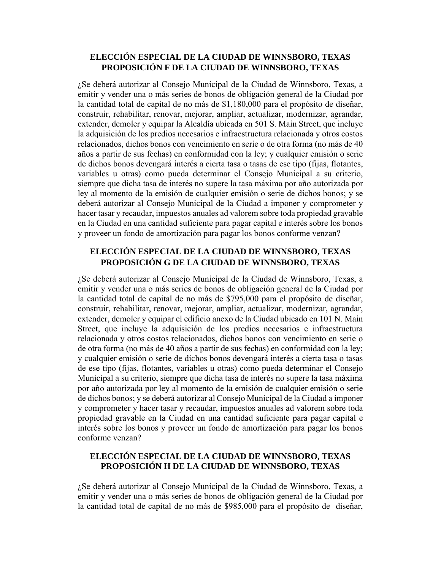#### **ELECCIÓN ESPECIAL DE LA CIUDAD DE WINNSBORO, TEXAS PROPOSICIÓN F DE LA CIUDAD DE WINNSBORO, TEXAS**

¿Se deberá autorizar al Consejo Municipal de la Ciudad de Winnsboro, Texas, a emitir y vender una o más series de bonos de obligación general de la Ciudad por la cantidad total de capital de no más de \$1,180,000 para el propósito de diseñar, construir, rehabilitar, renovar, mejorar, ampliar, actualizar, modernizar, agrandar, extender, demoler y equipar la Alcaldía ubicada en 501 S. Main Street, que incluye la adquisición de los predios necesarios e infraestructura relacionada y otros costos relacionados, dichos bonos con vencimiento en serie o de otra forma (no más de 40 años a partir de sus fechas) en conformidad con la ley; y cualquier emisión o serie de dichos bonos devengará interés a cierta tasa o tasas de ese tipo (fijas, flotantes, variables u otras) como pueda determinar el Consejo Municipal a su criterio, siempre que dicha tasa de interés no supere la tasa máxima por año autorizada por ley al momento de la emisión de cualquier emisión o serie de dichos bonos; y se deberá autorizar al Consejo Municipal de la Ciudad a imponer y comprometer y hacer tasar y recaudar, impuestos anuales ad valorem sobre toda propiedad gravable en la Ciudad en una cantidad suficiente para pagar capital e interés sobre los bonos y proveer un fondo de amortización para pagar los bonos conforme venzan?

## **ELECCIÓN ESPECIAL DE LA CIUDAD DE WINNSBORO, TEXAS PROPOSICIÓN G DE LA CIUDAD DE WINNSBORO, TEXAS**

¿Se deberá autorizar al Consejo Municipal de la Ciudad de Winnsboro, Texas, a emitir y vender una o más series de bonos de obligación general de la Ciudad por la cantidad total de capital de no más de \$795,000 para el propósito de diseñar, construir, rehabilitar, renovar, mejorar, ampliar, actualizar, modernizar, agrandar, extender, demoler y equipar el edificio anexo de la Ciudad ubicado en 101 N. Main Street, que incluye la adquisición de los predios necesarios e infraestructura relacionada y otros costos relacionados, dichos bonos con vencimiento en serie o de otra forma (no más de 40 años a partir de sus fechas) en conformidad con la ley; y cualquier emisión o serie de dichos bonos devengará interés a cierta tasa o tasas de ese tipo (fijas, flotantes, variables u otras) como pueda determinar el Consejo Municipal a su criterio, siempre que dicha tasa de interés no supere la tasa máxima por año autorizada por ley al momento de la emisión de cualquier emisión o serie de dichos bonos; y se deberá autorizar al Consejo Municipal de la Ciudad a imponer y comprometer y hacer tasar y recaudar, impuestos anuales ad valorem sobre toda propiedad gravable en la Ciudad en una cantidad suficiente para pagar capital e interés sobre los bonos y proveer un fondo de amortización para pagar los bonos conforme venzan?

#### **ELECCIÓN ESPECIAL DE LA CIUDAD DE WINNSBORO, TEXAS PROPOSICIÓN H DE LA CIUDAD DE WINNSBORO, TEXAS**

¿Se deberá autorizar al Consejo Municipal de la Ciudad de Winnsboro, Texas, a emitir y vender una o más series de bonos de obligación general de la Ciudad por la cantidad total de capital de no más de \$985,000 para el propósito de diseñar,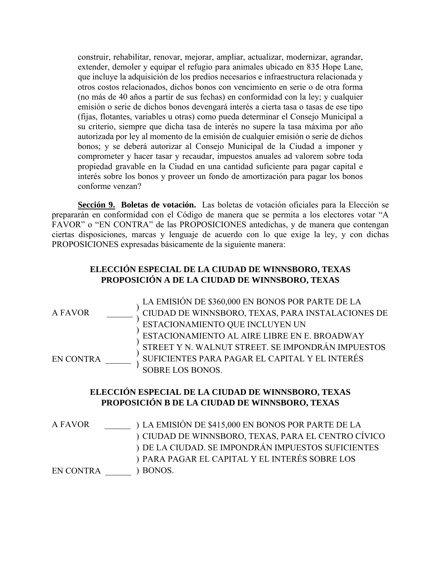construir, rehabilitar, renovar, mejorar, ampliar, actualizar, modernizar, agrandar, extender, demoler y equipar el refugio para animales ubicado en 835 Hope Lane, que incluye la adquisición de los predios necesarios e infraestructura relacionada y otros costos relacionados, dichos bonos con vencimiento en serie o de otra forma (no más de 40 años a partir de sus fechas) en conformidad con la ley; y cualquier emisión o serie de dichos bonos devengará interés a cierta tasa o tasas de ese tipo (fijas, flotantes, variables u otras) como pueda determinar el Consejo Municipal a su criterio, siempre que dicha tasa de interés no supere la tasa máxima por año autorizada por ley al momento de la emisión de cualquier emisión o serie de dichos bonos; y se deberá autorizar al Consejo Municipal de la Ciudad a imponer y comprometer y hacer tasar y recaudar, impuestos anuales ad valorem sobre toda propiedad gravable en la Ciudad en una cantidad suficiente para pagar capital e interés sobre los bonos y proveer un fondo de amortización para pagar los bonos conforme venzan?

**Sección 9. Boletas de votación.** Las boletas de votación oficiales para la Elección se prepararán en conformidad con el Código de manera que se permita a los electores votar "A FAVOR" o "EN CONTRA" de las PROPOSICIONES antedichas, y de manera que contengan ciertas disposiciones, marcas y lenguaje de acuerdo con lo que exige la ley, y con dichas PROPOSICIONES expresadas básicamente de la siguiente manera:

## **ELECCIÓN ESPECIAL DE LA CIUDAD DE WINNSBORO, TEXAS PROPOSICIÓN A DE LA CIUDAD DE WINNSBORO, TEXAS**



## **ELECCIÓN ESPECIAL DE LA CIUDAD DE WINNSBORO, TEXAS PROPOSICIÓN B DE LA CIUDAD DE WINNSBORO, TEXAS**

A FAVOR EN CONTRA \_\_\_\_\_\_ ) BONOS. ) LA EMISIÓN DE \$415,000 EN BONOS POR PARTE DE LA ) CIUDAD DE WINNSBORO, TEXAS, PARA EL CENTRO CÍVICO ) DE LA CIUDAD. SE IMPONDRÁN IMPUESTOS SUFICIENTES ) PARA PAGAR EL CAPITAL Y EL INTERÉS SOBRE LOS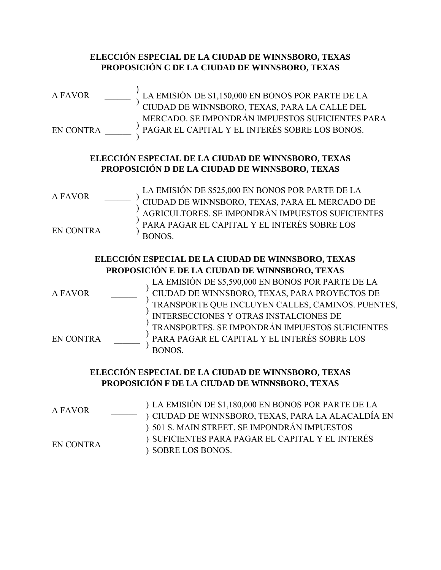## **ELECCIÓN ESPECIAL DE LA CIUDAD DE WINNSBORO, TEXAS PROPOSICIÓN C DE LA CIUDAD DE WINNSBORO, TEXAS**



## **ELECCIÓN ESPECIAL DE LA CIUDAD DE WINNSBORO, TEXAS PROPOSICIÓN D DE LA CIUDAD DE WINNSBORO, TEXAS**

A FAVOR EN CONTRA \_\_\_\_\_\_ ) ) ) ) LA EMISIÓN DE \$525,000 EN BONOS POR PARTE DE LA CIUDAD DE WINNSBORO, TEXAS, PARA EL MERCADO DE AGRICULTORES. SE IMPONDRÁN IMPUESTOS SUFICIENTES PARA PAGAR EL CAPITAL Y EL INTERÉS SOBRE LOS BONOS.

## **ELECCIÓN ESPECIAL DE LA CIUDAD DE WINNSBORO, TEXAS PROPOSICIÓN E DE LA CIUDAD DE WINNSBORO, TEXAS**

A FAVOR EN CONTRA ) ) ) ) ) ) LA EMISIÓN DE \$5,590,000 EN BONOS POR PARTE DE LA CIUDAD DE WINNSBORO, TEXAS, PARA PROYECTOS DE TRANSPORTE QUE INCLUYEN CALLES, CAMINOS. PUENTES, INTERSECCIONES Y OTRAS INSTALCIONES DE TRANSPORTES. SE IMPONDRÁN IMPUESTOS SUFICIENTES PARA PAGAR EL CAPITAL Y EL INTERÉS SOBRE LOS BONOS.

## **ELECCIÓN ESPECIAL DE LA CIUDAD DE WINNSBORO, TEXAS PROPOSICIÓN F DE LA CIUDAD DE WINNSBORO, TEXAS**

| A FAVOR          | ) LA EMISIÓN DE \$1,180,000 EN BONOS POR PARTE DE LA |
|------------------|------------------------------------------------------|
|                  | ) CIUDAD DE WINNSBORO, TEXAS, PARA LA ALACALDÍA EN   |
|                  | ) 501 S. MAIN STREET. SE IMPONDRÁN IMPUESTOS         |
| <b>EN CONTRA</b> | ) SUFICIENTES PARA PAGAR EL CAPITAL Y EL INTERÉS     |
|                  | ) SOBRE LOS BONOS.                                   |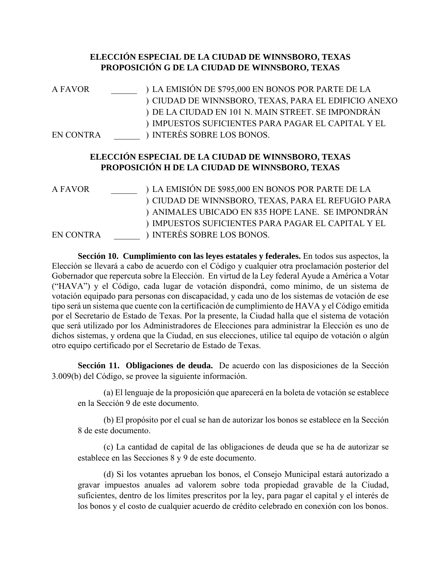## **ELECCIÓN ESPECIAL DE LA CIUDAD DE WINNSBORO, TEXAS PROPOSICIÓN G DE LA CIUDAD DE WINNSBORO, TEXAS**

| <b>A FAVOR</b>   | ) LA EMISIÓN DE \$795,000 EN BONOS POR PARTE DE LA<br>) CIUDAD DE WINNSBORO, TEXAS, PARA EL EDIFICIO ANEXO<br>) DE LA CIUDAD EN 101 N. MAIN STREET. SE IMPONDRÁN<br>IMPUESTOS SUFICIENTES PARA PAGAR EL CAPITAL Y EL |
|------------------|----------------------------------------------------------------------------------------------------------------------------------------------------------------------------------------------------------------------|
| <b>EN CONTRA</b> | ) INTERÉS SOBRE LOS BONOS.                                                                                                                                                                                           |
|                  | ELECCIÓN ESPECIAL DE LA CIUDAD DE WINNSBORO, TEXAS<br>PROPOSICIÓN H DE LA CIUDAD DE WINNSBORO, TEXAS                                                                                                                 |
| <b>A FAVOR</b>   | ) LA EMISIÓN DE \$985,000 EN BONOS POR PARTE DE LA                                                                                                                                                                   |
|                  | ) CIUDAD DE WINNSBORO, TEXAS, PARA EL REFUGIO PARA                                                                                                                                                                   |
|                  | ANIMALES UBICADO EN 835 HOPE LANE. SE IMPONDRÁN                                                                                                                                                                      |
|                  | IMPUESTOS SUFICIENTES PARA PAGAR EL CAPITAL Y EL                                                                                                                                                                     |
| <b>EN CONTRA</b> | <b>INTERÉS SOBRE LOS BONOS.</b>                                                                                                                                                                                      |

**Sección 10. Cumplimiento con las leyes estatales y federales.** En todos sus aspectos, la Elección se llevará a cabo de acuerdo con el Código y cualquier otra proclamación posterior del Gobernador que repercuta sobre la Elección. En virtud de la Ley federal Ayude a América a Votar ("HAVA") y el Código, cada lugar de votación dispondrá, como mínimo, de un sistema de votación equipado para personas con discapacidad, y cada uno de los sistemas de votación de ese tipo será un sistema que cuente con la certificación de cumplimiento de HAVA y el Código emitida por el Secretario de Estado de Texas. Por la presente, la Ciudad halla que el sistema de votación que será utilizado por los Administradores de Elecciones para administrar la Elección es uno de dichos sistemas, y ordena que la Ciudad, en sus elecciones, utilice tal equipo de votación o algún otro equipo certificado por el Secretario de Estado de Texas.

**Sección 11. Obligaciones de deuda.** De acuerdo con las disposiciones de la Sección 3.009(b) del Código, se provee la siguiente información.

(a) El lenguaje de la proposición que aparecerá en la boleta de votación se establece en la Sección 9 de este documento.

(b) El propósito por el cual se han de autorizar los bonos se establece en la Sección 8 de este documento.

(c) La cantidad de capital de las obligaciones de deuda que se ha de autorizar se establece en las Secciones 8 y 9 de este documento.

(d) Si los votantes aprueban los bonos, el Consejo Municipal estará autorizado a gravar impuestos anuales ad valorem sobre toda propiedad gravable de la Ciudad, suficientes, dentro de los límites prescritos por la ley, para pagar el capital y el interés de los bonos y el costo de cualquier acuerdo de crédito celebrado en conexión con los bonos.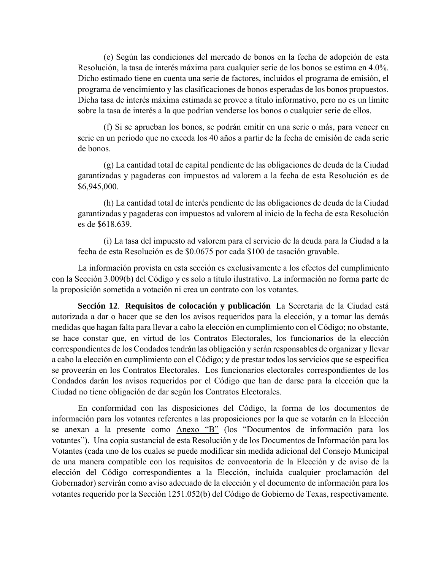(e) Según las condiciones del mercado de bonos en la fecha de adopción de esta Resolución, la tasa de interés máxima para cualquier serie de los bonos se estima en 4.0%. Dicho estimado tiene en cuenta una serie de factores, incluidos el programa de emisión, el programa de vencimiento y las clasificaciones de bonos esperadas de los bonos propuestos. Dicha tasa de interés máxima estimada se provee a título informativo, pero no es un límite sobre la tasa de interés a la que podrían venderse los bonos o cualquier serie de ellos.

(f) Si se aprueban los bonos, se podrán emitir en una serie o más, para vencer en serie en un periodo que no exceda los 40 años a partir de la fecha de emisión de cada serie de bonos.

(g) La cantidad total de capital pendiente de las obligaciones de deuda de la Ciudad garantizadas y pagaderas con impuestos ad valorem a la fecha de esta Resolución es de \$6,945,000.

(h) La cantidad total de interés pendiente de las obligaciones de deuda de la Ciudad garantizadas y pagaderas con impuestos ad valorem al inicio de la fecha de esta Resolución es de \$618.639.

(i) La tasa del impuesto ad valorem para el servicio de la deuda para la Ciudad a la fecha de esta Resolución es de \$0.0675 por cada \$100 de tasación gravable.

La información provista en esta sección es exclusivamente a los efectos del cumplimiento con la Sección 3.009(b) del Código y es solo a título ilustrativo. La información no forma parte de la proposición sometida a votación ni crea un contrato con los votantes.

**Sección 12**. **Requisitos de colocación y publicación** La Secretaria de la Ciudad está autorizada a dar o hacer que se den los avisos requeridos para la elección, y a tomar las demás medidas que hagan falta para llevar a cabo la elección en cumplimiento con el Código; no obstante, se hace constar que, en virtud de los Contratos Electorales, los funcionarios de la elección correspondientes de los Condados tendrán las obligación y serán responsables de organizar y llevar a cabo la elección en cumplimiento con el Código; y de prestar todos los servicios que se especifica se proveerán en los Contratos Electorales. Los funcionarios electorales correspondientes de los Condados darán los avisos requeridos por el Código que han de darse para la elección que la Ciudad no tiene obligación de dar según los Contratos Electorales.

En conformidad con las disposiciones del Código, la forma de los documentos de información para los votantes referentes a las proposiciones por la que se votarán en la Elección se anexan a la presente como Anexo "B" (los "Documentos de información para los votantes"). Una copia sustancial de esta Resolución y de los Documentos de Información para los Votantes (cada uno de los cuales se puede modificar sin medida adicional del Consejo Municipal de una manera compatible con los requisitos de convocatoria de la Elección y de aviso de la elección del Código correspondientes a la Elección, incluida cualquier proclamación del Gobernador) servirán como aviso adecuado de la elección y el documento de información para los votantes requerido por la Sección 1251.052(b) del Código de Gobierno de Texas, respectivamente.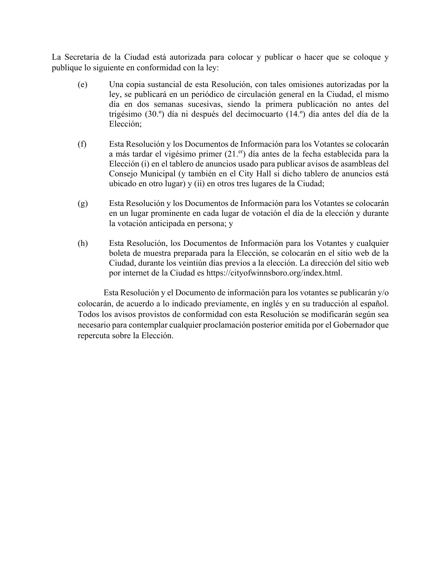La Secretaria de la Ciudad está autorizada para colocar y publicar o hacer que se coloque y publique lo siguiente en conformidad con la ley:

- (e) Una copia sustancial de esta Resolución, con tales omisiones autorizadas por la ley, se publicará en un periódico de circulación general en la Ciudad, el mismo día en dos semanas sucesivas, siendo la primera publicación no antes del trigésimo (30.º) día ni después del decimocuarto (14.º) día antes del día de la Elección;
- (f) Esta Resolución y los Documentos de Información para los Votantes se colocarán a más tardar el vigésimo primer (21.<sup>er</sup>) día antes de la fecha establecida para la Elección (i) en el tablero de anuncios usado para publicar avisos de asambleas del Consejo Municipal (y también en el City Hall si dicho tablero de anuncios está ubicado en otro lugar) y (ii) en otros tres lugares de la Ciudad;
- (g) Esta Resolución y los Documentos de Información para los Votantes se colocarán en un lugar prominente en cada lugar de votación el día de la elección y durante la votación anticipada en persona; y
- (h) Esta Resolución, los Documentos de Información para los Votantes y cualquier boleta de muestra preparada para la Elección, se colocarán en el sitio web de la Ciudad, durante los veintiún días previos a la elección. La dirección del sitio web por internet de la Ciudad es https://cityofwinnsboro.org/index.html.

Esta Resolución y el Documento de información para los votantes se publicarán y/o colocarán, de acuerdo a lo indicado previamente, en inglés y en su traducción al español. Todos los avisos provistos de conformidad con esta Resolución se modificarán según sea necesario para contemplar cualquier proclamación posterior emitida por el Gobernador que repercuta sobre la Elección.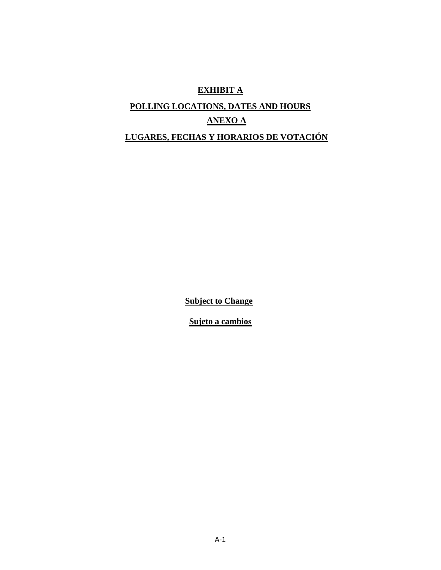# **EXHIBIT A POLLING LOCATIONS, DATES AND HOURS ANEXO A LUGARES, FECHAS Y HORARIOS DE VOTACIÓN**

**Subject to Change**

**Sujeto a cambios**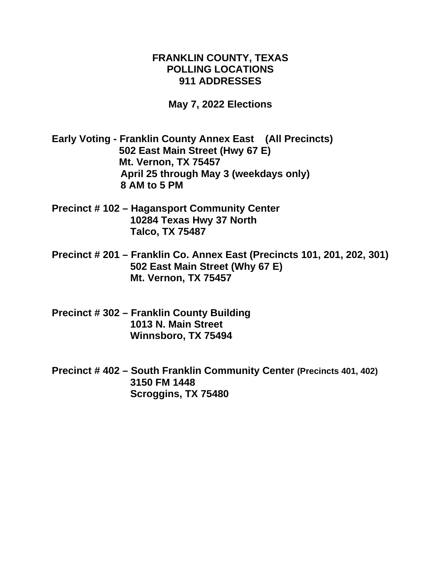## **FRANKLIN COUNTY, TEXAS POLLING LOCATIONS 911 ADDRESSES**

**May 7, 2022 Elections**

**Early Voting - Franklin County Annex East (All Precincts) 502 East Main Street (Hwy 67 E) Mt. Vernon, TX 75457 April 25 through May 3 (weekdays only) 8 AM to 5 PM**

- **Precinct # 102 – Hagansport Community Center 10284 Texas Hwy 37 North Talco, TX 75487**
- **Precinct # 201 – Franklin Co. Annex East (Precincts 101, 201, 202, 301) 502 East Main Street (Why 67 E) Mt. Vernon, TX 75457**
- **Precinct # 302 – Franklin County Building 1013 N. Main Street Winnsboro, TX 75494**
- **Precinct # 402 – South Franklin Community Center (Precincts 401, 402) 3150 FM 1448 Scroggins, TX 75480**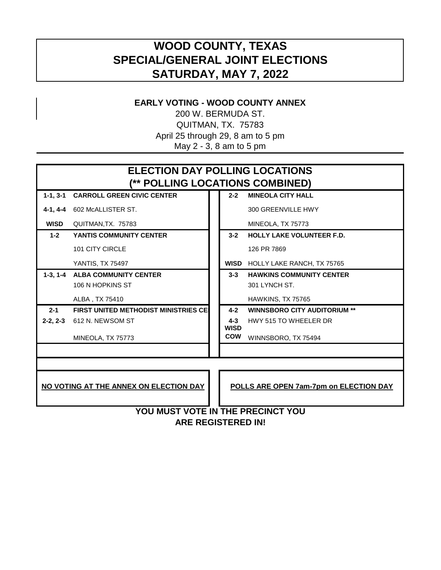# **WOOD COUNTY, TEXAS SPECIAL/GENERAL JOINT ELECTIONS SATURDAY, MAY 7, 2022**

# **EARLY VOTING - WOOD COUNTY ANNEX**

200 W. BERMUDA ST. QUITMAN, TX. 75783 April 25 through 29, 8 am to 5 pm May 2 - 3, 8 am to 5 pm

| <b>ELECTION DAY POLLING LOCATIONS</b><br>(** POLLING LOCATIONS COMBINED)         |                                             |  |                        |                                     |
|----------------------------------------------------------------------------------|---------------------------------------------|--|------------------------|-------------------------------------|
| $1-1, 3-1$                                                                       | <b>CARROLL GREEN CIVIC CENTER</b>           |  | $2 - 2$                | <b>MINEOLA CITY HALL</b>            |
|                                                                                  | 4-1, 4-4 602 McALLISTER ST.                 |  |                        | 300 GREENVILLE HWY                  |
| <b>WISD</b>                                                                      | QUITMAN, TX. 75783                          |  |                        | MINEOLA, TX 75773                   |
| $1-2$                                                                            | <b>YANTIS COMMUNITY CENTER</b>              |  | $3 - 2$                | <b>HOLLY LAKE VOLUNTEER F.D.</b>    |
|                                                                                  | 101 CITY CIRCLE                             |  |                        | 126 PR 7869                         |
|                                                                                  | <b>YANTIS, TX 75497</b>                     |  |                        | WISD HOLLY LAKE RANCH, TX 75765     |
|                                                                                  | 1-3, 1-4 ALBA COMMUNITY CENTER              |  | $3 - 3$                | <b>HAWKINS COMMUNITY CENTER</b>     |
|                                                                                  | 106 N HOPKINS ST                            |  |                        | 301 LYNCH ST.                       |
|                                                                                  | ALBA, TX 75410                              |  |                        | HAWKINS, TX 75765                   |
| $2 - 1$                                                                          | <b>FIRST UNITED METHODIST MINISTRIES CE</b> |  | $4 - 2$                | <b>WINNSBORO CITY AUDITORIUM **</b> |
| $2-2, 2-3$                                                                       | 612 N. NEWSOM ST                            |  | $4 - 3$<br><b>WISD</b> | HWY 515 TO WHEELER DR               |
|                                                                                  | MINEOLA, TX 75773                           |  | <b>COW</b>             | WINNSBORO, TX 75494                 |
|                                                                                  |                                             |  |                        |                                     |
|                                                                                  |                                             |  |                        |                                     |
| NO VOTING AT THE ANNEX ON ELECTION DAY<br>POLLS ARE OPEN 7am-7pm on ELECTION DAY |                                             |  |                        |                                     |
| YOU MUST VOTE IN THE PRECINCT YOU                                                |                                             |  |                        |                                     |

**ARE REGISTERED IN!**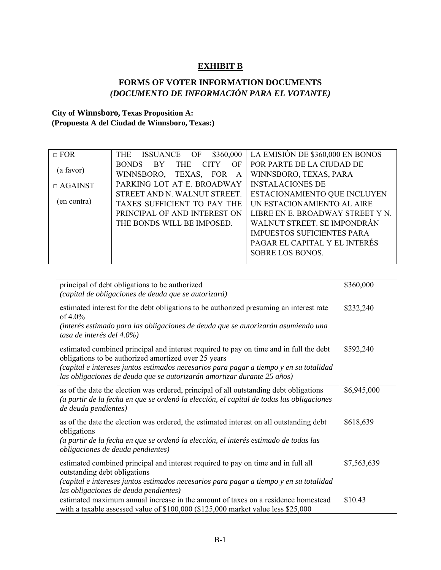## **EXHIBIT B**

## **FORMS OF VOTER INFORMATION DOCUMENTS**  *(DOCUMENTO DE INFORMACIÓN PARA EL VOTANTE)*

## **City of Winnsboro, Texas Proposition A: (Propuesta A del Ciudad de Winnsboro, Texas:)**

| $\Box$ FOR     | <b>THE</b><br>ISSUANCE OF<br>\$360,000                  | LA EMISIÓN DE \$360,000 EN BONOS  |
|----------------|---------------------------------------------------------|-----------------------------------|
|                | <b>THE</b><br><b>CITY</b><br><b>BONDS</b><br>- BY<br>OF | POR PARTE DE LA CIUDAD DE         |
| (a favor)      | WINNSBORO, TEXAS, FOR<br>A                              | WINNSBORO, TEXAS, PARA            |
| $\Box$ AGAINST | PARKING LOT AT E. BROADWAY                              | <b>INSTALACIONES DE</b>           |
|                | STREET AND N. WALNUT STREET.                            | ESTACIONAMIENTO QUE INCLUYEN      |
| (en contra)    | TAXES SUFFICIENT TO PAY THE                             | UN ESTACIONAMIENTO AL AIRE        |
|                | PRINCIPAL OF AND INTEREST ON                            | LIBRE EN E. BROADWAY STREET Y N.  |
|                | THE BONDS WILL BE IMPOSED.                              | WALNUT STREET. SE IMPONDRÁN       |
|                |                                                         | <b>IMPUESTOS SUFICIENTES PARA</b> |
|                |                                                         | PAGAR EL CAPITAL Y EL INTERÉS     |
|                |                                                         | SOBRE LOS BONOS.                  |
|                |                                                         |                                   |

| principal of debt obligations to be authorized                                                                                                                                                                                                                                                                      | \$360,000   |
|---------------------------------------------------------------------------------------------------------------------------------------------------------------------------------------------------------------------------------------------------------------------------------------------------------------------|-------------|
| (capital de obligaciones de deuda que se autorizará)                                                                                                                                                                                                                                                                |             |
| estimated interest for the debt obligations to be authorized presuming an interest rate<br>of $4.0\%$                                                                                                                                                                                                               | \$232,240   |
| (interés estimado para las obligaciones de deuda que se autorizarán asumiendo una<br>tasa de interés del 4.0%)                                                                                                                                                                                                      |             |
| estimated combined principal and interest required to pay on time and in full the debt<br>obligations to be authorized amortized over 25 years<br>(capital e intereses juntos estimados necesarios para pagar a tiempo y en su totalidad<br>las obligaciones de deuda que se autorizarán amortizar durante 25 años) | \$592,240   |
| as of the date the election was ordered, principal of all outstanding debt obligations<br>(a partir de la fecha en que se ordenó la elección, el capital de todas las obligaciones<br>de deuda pendientes)                                                                                                          | \$6,945,000 |
| as of the date the election was ordered, the estimated interest on all outstanding debt<br>obligations<br>(a partir de la fecha en que se ordenó la elección, el interés estimado de todas las<br>obligaciones de deuda pendientes)                                                                                 | \$618,639   |
| estimated combined principal and interest required to pay on time and in full all<br>outstanding debt obligations<br>(capital e intereses juntos estimados necesarios para pagar a tiempo y en su totalidad<br>las obligaciones de deuda pendientes)                                                                | \$7,563,639 |
| estimated maximum annual increase in the amount of taxes on a residence homestead<br>with a taxable assessed value of \$100,000 (\$125,000 market value less \$25,000                                                                                                                                               | \$10.43     |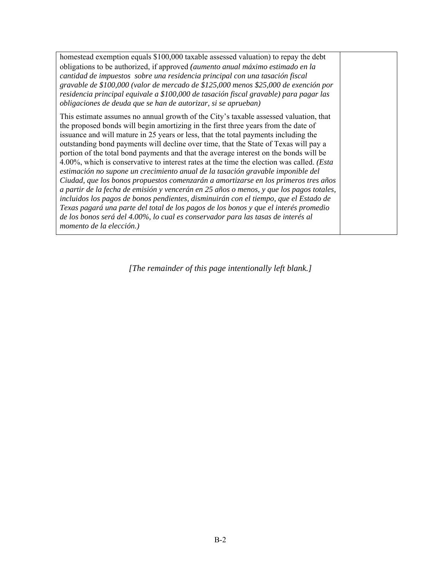homestead exemption equals \$100,000 taxable assessed valuation) to repay the debt obligations to be authorized, if approved *(aumento anual máximo estimado en la cantidad de impuestos sobre una residencia principal con una tasación fiscal gravable de \$100,000 (valor de mercado de \$125,000 menos \$25,000 de exención por residencia principal equivale a \$100,000 de tasación fiscal gravable) para pagar las obligaciones de deuda que se han de autorizar, si se aprueban)* 

This estimate assumes no annual growth of the City's taxable assessed valuation, that the proposed bonds will begin amortizing in the first three years from the date of issuance and will mature in 25 years or less, that the total payments including the outstanding bond payments will decline over time, that the State of Texas will pay a portion of the total bond payments and that the average interest on the bonds will be 4.00%, which is conservative to interest rates at the time the election was called. *(Esta estimación no supone un crecimiento anual de la tasación gravable imponible del Ciudad, que los bonos propuestos comenzarán a amortizarse en los primeros tres años a partir de la fecha de emisión y vencerán en 25 años o menos, y que los pagos totales, incluidos los pagos de bonos pendientes, disminuirán con el tiempo, que el Estado de Texas pagará una parte del total de los pagos de los bonos y que el interés promedio de los bonos será del 4.00%, lo cual es conservador para las tasas de interés al momento de la elección.)* 

*[The remainder of this page intentionally left blank.]*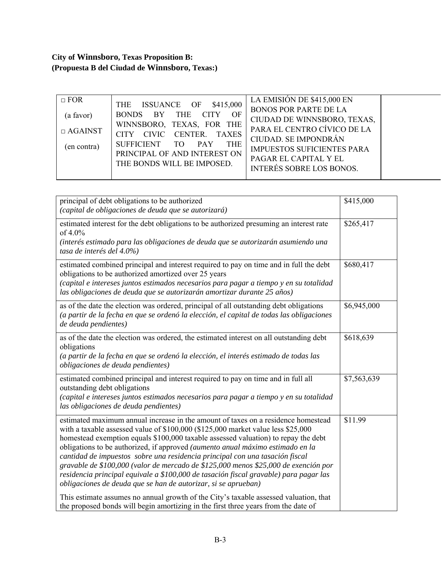# **City of Winnsboro, Texas Proposition B: (Propuesta B del Ciudad de Winnsboro, Texas:)**

| $\Box$ FOR     | THE ISSUANCE OF \$415,000                                                                     | LA EMISIÓN DE \$415,000 EN<br><b>BONOS POR PARTE DE LA</b> |
|----------------|-----------------------------------------------------------------------------------------------|------------------------------------------------------------|
| (a favor)      | BONDS BY THE CITY<br>OF                                                                       | CIUDAD DE WINNSBORO, TEXAS,                                |
| $\Box$ AGAINST | WINNSBORO, TEXAS, FOR THE                                                                     | PARA EL CENTRO CÍVICO DE LA                                |
|                | CITY CIVIC CENTER. TAXES                                                                      | CIUDAD. SE IMPONDRÁN                                       |
| (en contra)    |                                                                                               | <b>IMPUESTOS SUFICIENTES PARA</b>                          |
|                |                                                                                               | PAGAR EL CAPITAL Y EL                                      |
|                |                                                                                               |                                                            |
|                | SUFFICIENT TO PAY<br><b>THE</b><br>PRINCIPAL OF AND INTEREST ON<br>THE BONDS WILL BE IMPOSED. | <b>INTERÉS SOBRE LOS BONOS.</b>                            |

| principal of debt obligations to be authorized<br>(capital de obligaciones de deuda que se autorizará)                                                                                                                                                                                                                                                                                                                                                                                                                                                                                                                                                                          | \$415,000   |
|---------------------------------------------------------------------------------------------------------------------------------------------------------------------------------------------------------------------------------------------------------------------------------------------------------------------------------------------------------------------------------------------------------------------------------------------------------------------------------------------------------------------------------------------------------------------------------------------------------------------------------------------------------------------------------|-------------|
| estimated interest for the debt obligations to be authorized presuming an interest rate<br>of 4.0%<br>(interés estimado para las obligaciones de deuda que se autorizarán asumiendo una<br>tasa de interés del 4.0%)                                                                                                                                                                                                                                                                                                                                                                                                                                                            | \$265,417   |
| estimated combined principal and interest required to pay on time and in full the debt<br>obligations to be authorized amortized over 25 years<br>(capital e intereses juntos estimados necesarios para pagar a tiempo y en su totalidad<br>las obligaciones de deuda que se autorizarán amortizar durante 25 años)                                                                                                                                                                                                                                                                                                                                                             | \$680,417   |
| as of the date the election was ordered, principal of all outstanding debt obligations<br>(a partir de la fecha en que se ordenó la elección, el capital de todas las obligaciones<br>de deuda pendientes)                                                                                                                                                                                                                                                                                                                                                                                                                                                                      | \$6,945,000 |
| as of the date the election was ordered, the estimated interest on all outstanding debt<br>obligations<br>(a partir de la fecha en que se ordenó la elección, el interés estimado de todas las<br>obligaciones de deuda pendientes)                                                                                                                                                                                                                                                                                                                                                                                                                                             | \$618,639   |
| estimated combined principal and interest required to pay on time and in full all<br>outstanding debt obligations<br>(capital e intereses juntos estimados necesarios para pagar a tiempo y en su totalidad<br>las obligaciones de deuda pendientes)                                                                                                                                                                                                                                                                                                                                                                                                                            | \$7,563,639 |
| estimated maximum annual increase in the amount of taxes on a residence homestead<br>with a taxable assessed value of \$100,000 (\$125,000 market value less \$25,000<br>homestead exemption equals \$100,000 taxable assessed valuation) to repay the debt<br>obligations to be authorized, if approved (aumento anual máximo estimado en la<br>cantidad de impuestos sobre una residencia principal con una tasación fiscal<br>gravable de \$100,000 (valor de mercado de \$125,000 menos \$25,000 de exención por<br>residencia principal equivale a \$100,000 de tasación fiscal gravable) para pagar las<br>obligaciones de deuda que se han de autorizar, si se aprueban) | \$11.99     |
| This estimate assumes no annual growth of the City's taxable assessed valuation, that<br>the proposed bonds will begin amortizing in the first three years from the date of                                                                                                                                                                                                                                                                                                                                                                                                                                                                                                     |             |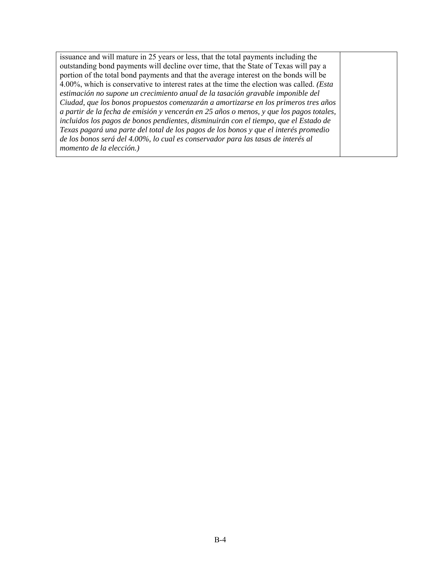issuance and will mature in 25 years or less, that the total payments including the outstanding bond payments will decline over time, that the State of Texas will pay a portion of the total bond payments and that the average interest on the bonds will be 4.00%, which is conservative to interest rates at the time the election was called. *(Esta estimación no supone un crecimiento anual de la tasación gravable imponible del Ciudad, que los bonos propuestos comenzarán a amortizarse en los primeros tres años a partir de la fecha de emisión y vencerán en 25 años o menos, y que los pagos totales, incluidos los pagos de bonos pendientes, disminuirán con el tiempo, que el Estado de Texas pagará una parte del total de los pagos de los bonos y que el interés promedio de los bonos será del 4.00%, lo cual es conservador para las tasas de interés al momento de la elección.)*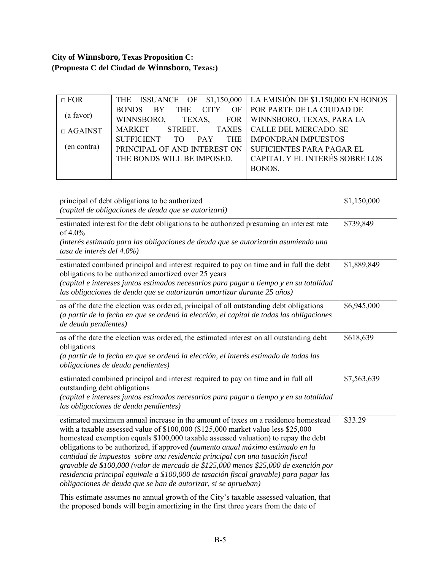# **City of Winnsboro, Texas Proposition C: (Propuesta C del Ciudad de Winnsboro, Texas:)**

| $\Box$ FOR     |                                       | THE ISSUANCE OF \$1,150,000 LA EMISIÓN DE \$1,150,000 EN BONOS |
|----------------|---------------------------------------|----------------------------------------------------------------|
|                | THE CITY<br><b>BONDS</b><br><b>BY</b> | OF   POR PARTE DE LA CIUDAD DE                                 |
| (a favor)      | WINNSBORO,<br>TEXAS,                  | FOR   WINNSBORO, TEXAS, PARA LA                                |
| $\Box$ AGAINST | MARKET STREET. TAXES                  | <b>CALLE DEL MERCADO. SE</b>                                   |
|                | PAY THE<br>SUFFICIENT TO              | <b>IMPONDRÁN IMPUESTOS</b>                                     |
| (en contra)    | PRINCIPAL OF AND INTEREST ON          | <b>SUFICIENTES PARA PAGAR EL</b>                               |
|                | THE BONDS WILL BE IMPOSED.            | CAPITAL Y EL INTERÉS SOBRE LOS                                 |
|                |                                       | BONOS.                                                         |
|                |                                       |                                                                |

| principal of debt obligations to be authorized<br>(capital de obligaciones de deuda que se autorizará)                                                                                                                                                                                                                                                                                                                                                                                                                                                                                                                                                                          | \$1,150,000 |
|---------------------------------------------------------------------------------------------------------------------------------------------------------------------------------------------------------------------------------------------------------------------------------------------------------------------------------------------------------------------------------------------------------------------------------------------------------------------------------------------------------------------------------------------------------------------------------------------------------------------------------------------------------------------------------|-------------|
| estimated interest for the debt obligations to be authorized presuming an interest rate<br>of 4.0%<br>(interés estimado para las obligaciones de deuda que se autorizarán asumiendo una<br>tasa de interés del 4.0%)                                                                                                                                                                                                                                                                                                                                                                                                                                                            | \$739,849   |
| estimated combined principal and interest required to pay on time and in full the debt<br>obligations to be authorized amortized over 25 years<br>(capital e intereses juntos estimados necesarios para pagar a tiempo y en su totalidad<br>las obligaciones de deuda que se autorizarán amortizar durante 25 años)                                                                                                                                                                                                                                                                                                                                                             | \$1,889,849 |
| as of the date the election was ordered, principal of all outstanding debt obligations<br>(a partir de la fecha en que se ordenó la elección, el capital de todas las obligaciones<br>de deuda pendientes)                                                                                                                                                                                                                                                                                                                                                                                                                                                                      | \$6,945,000 |
| as of the date the election was ordered, the estimated interest on all outstanding debt<br>obligations<br>(a partir de la fecha en que se ordenó la elección, el interés estimado de todas las<br>obligaciones de deuda pendientes)                                                                                                                                                                                                                                                                                                                                                                                                                                             | \$618,639   |
| estimated combined principal and interest required to pay on time and in full all<br>outstanding debt obligations<br>(capital e intereses juntos estimados necesarios para pagar a tiempo y en su totalidad<br>las obligaciones de deuda pendientes)                                                                                                                                                                                                                                                                                                                                                                                                                            | \$7,563,639 |
| estimated maximum annual increase in the amount of taxes on a residence homestead<br>with a taxable assessed value of \$100,000 (\$125,000 market value less \$25,000<br>homestead exemption equals \$100,000 taxable assessed valuation) to repay the debt<br>obligations to be authorized, if approved (aumento anual máximo estimado en la<br>cantidad de impuestos sobre una residencia principal con una tasación fiscal<br>gravable de \$100,000 (valor de mercado de \$125,000 menos \$25,000 de exención por<br>residencia principal equivale a \$100,000 de tasación fiscal gravable) para pagar las<br>obligaciones de deuda que se han de autorizar, si se aprueban) | \$33.29     |
| This estimate assumes no annual growth of the City's taxable assessed valuation, that<br>the proposed bonds will begin amortizing in the first three years from the date of                                                                                                                                                                                                                                                                                                                                                                                                                                                                                                     |             |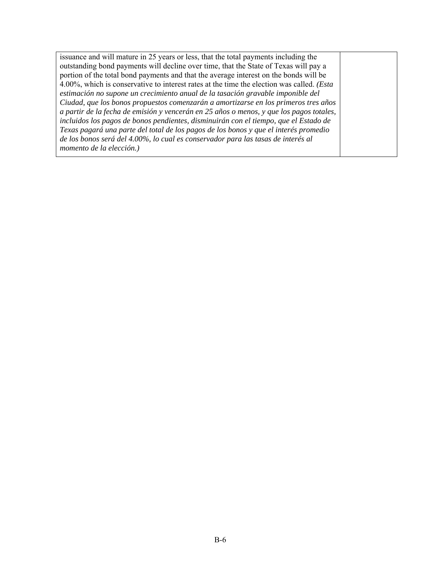issuance and will mature in 25 years or less, that the total payments including the outstanding bond payments will decline over time, that the State of Texas will pay a portion of the total bond payments and that the average interest on the bonds will be 4.00%, which is conservative to interest rates at the time the election was called. *(Esta estimación no supone un crecimiento anual de la tasación gravable imponible del Ciudad, que los bonos propuestos comenzarán a amortizarse en los primeros tres años a partir de la fecha de emisión y vencerán en 25 años o menos, y que los pagos totales, incluidos los pagos de bonos pendientes, disminuirán con el tiempo, que el Estado de Texas pagará una parte del total de los pagos de los bonos y que el interés promedio de los bonos será del 4.00%, lo cual es conservador para las tasas de interés al momento de la elección.)*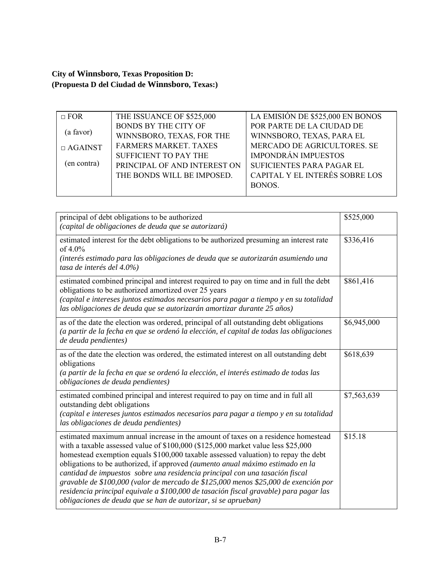**City of Winnsboro, Texas Proposition D: (Propuesta D del Ciudad de Winnsboro, Texas:)** 

| $\Box$ FOR     | THE ISSUANCE OF \$525,000    | LA EMISIÓN DE \$525,000 EN BONOS |
|----------------|------------------------------|----------------------------------|
|                | <b>BONDS BY THE CITY OF</b>  | POR PARTE DE LA CIUDAD DE        |
| (a favor)      | WINNSBORO, TEXAS, FOR THE    | WINNSBORO, TEXAS, PARA EL        |
| $\Box$ AGAINST | <b>FARMERS MARKET. TAXES</b> | MERCADO DE AGRICULTORES. SE      |
|                | SUFFICIENT TO PAY THE        | <b>IMPONDRÁN IMPUESTOS</b>       |
| (en contra)    | PRINCIPAL OF AND INTEREST ON | SUFICIENTES PARA PAGAR EL        |
|                | THE BONDS WILL BE IMPOSED.   | CAPITAL Y EL INTERÉS SOBRE LOS   |
|                |                              | BONOS.                           |
|                |                              |                                  |

| principal of debt obligations to be authorized<br>(capital de obligaciones de deuda que se autorizará)                                                                                                                                                                                                                                                                                                                                                                                                                                                                                                                                                                          | \$525,000   |
|---------------------------------------------------------------------------------------------------------------------------------------------------------------------------------------------------------------------------------------------------------------------------------------------------------------------------------------------------------------------------------------------------------------------------------------------------------------------------------------------------------------------------------------------------------------------------------------------------------------------------------------------------------------------------------|-------------|
| estimated interest for the debt obligations to be authorized presuming an interest rate<br>of $4.0\%$<br>(interés estimado para las obligaciones de deuda que se autorizarán asumiendo una<br>tasa de interés del 4.0%)                                                                                                                                                                                                                                                                                                                                                                                                                                                         | \$336,416   |
| estimated combined principal and interest required to pay on time and in full the debt<br>obligations to be authorized amortized over 25 years<br>(capital e intereses juntos estimados necesarios para pagar a tiempo y en su totalidad<br>las obligaciones de deuda que se autorizarán amortizar durante 25 años)                                                                                                                                                                                                                                                                                                                                                             | \$861,416   |
| as of the date the election was ordered, principal of all outstanding debt obligations<br>(a partir de la fecha en que se ordenó la elección, el capital de todas las obligaciones<br>de deuda pendientes)                                                                                                                                                                                                                                                                                                                                                                                                                                                                      | \$6,945,000 |
| as of the date the election was ordered, the estimated interest on all outstanding debt<br>obligations<br>(a partir de la fecha en que se ordenó la elección, el interés estimado de todas las<br>obligaciones de deuda pendientes)                                                                                                                                                                                                                                                                                                                                                                                                                                             | \$618,639   |
| estimated combined principal and interest required to pay on time and in full all<br>outstanding debt obligations<br>(capital e intereses juntos estimados necesarios para pagar a tiempo y en su totalidad<br>las obligaciones de deuda pendientes)                                                                                                                                                                                                                                                                                                                                                                                                                            | \$7,563,639 |
| estimated maximum annual increase in the amount of taxes on a residence homestead<br>with a taxable assessed value of \$100,000 (\$125,000 market value less \$25,000<br>homestead exemption equals \$100,000 taxable assessed valuation) to repay the debt<br>obligations to be authorized, if approved (aumento anual máximo estimado en la<br>cantidad de impuestos sobre una residencia principal con una tasación fiscal<br>gravable de \$100,000 (valor de mercado de \$125,000 menos \$25,000 de exención por<br>residencia principal equivale a \$100,000 de tasación fiscal gravable) para pagar las<br>obligaciones de deuda que se han de autorizar, si se aprueban) | \$15.18     |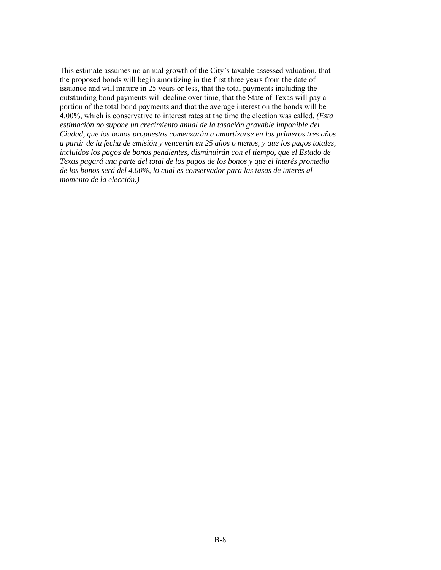This estimate assumes no annual growth of the City's taxable assessed valuation, that the proposed bonds will begin amortizing in the first three years from the date of issuance and will mature in 25 years or less, that the total payments including the outstanding bond payments will decline over time, that the State of Texas will pay a portion of the total bond payments and that the average interest on the bonds will be 4.00%, which is conservative to interest rates at the time the election was called. *(Esta estimación no supone un crecimiento anual de la tasación gravable imponible del Ciudad, que los bonos propuestos comenzarán a amortizarse en los primeros tres años a partir de la fecha de emisión y vencerán en 25 años o menos, y que los pagos totales, incluidos los pagos de bonos pendientes, disminuirán con el tiempo, que el Estado de Texas pagará una parte del total de los pagos de los bonos y que el interés promedio de los bonos será del 4.00%, lo cual es conservador para las tasas de interés al momento de la elección.)*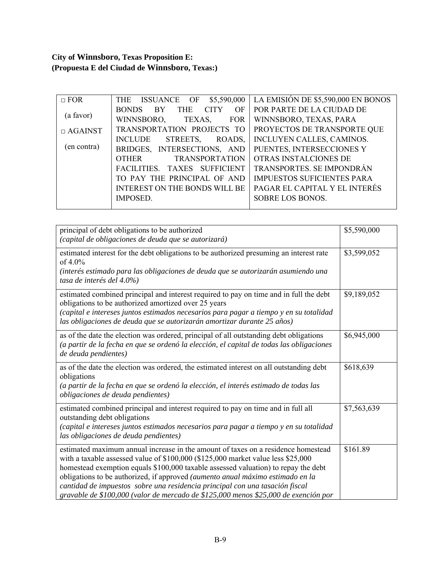# **City of Winnsboro, Texas Proposition E: (Propuesta E del Ciudad de Winnsboro, Texas:)**

| $\Box$ FOR     | ISSUANCE OF<br>\$5,590,000<br><b>THE</b>                     | LA EMISIÓN DE \$5,590,000 EN BONOS |
|----------------|--------------------------------------------------------------|------------------------------------|
|                | <b>CITY</b><br><b>BONDS</b><br><b>BY</b><br><b>THE</b><br>OF | POR PARTE DE LA CIUDAD DE          |
| (a favor)      | WINNSBORO,<br>TEXAS,<br><b>FOR</b>                           | WINNSBORO, TEXAS, PARA             |
| $\Box$ AGAINST | TRANSPORTATION PROJECTS TO                                   | PROYECTOS DE TRANSPORTE QUE        |
|                | <b>INCLUDE</b><br>STREETS,<br>ROADS,                         | INCLUYEN CALLES, CAMINOS.          |
| (en contra)    | BRIDGES, INTERSECTIONS, AND                                  | PUENTES, INTERSECCIONES Y          |
|                | <b>TRANSPORTATION</b><br><b>OTHER</b>                        | OTRAS INSTALCIONES DE              |
|                | FACILITIES. TAXES SUFFICIENT                                 | TRANSPORTES. SE IMPONDRÁN          |
|                | TO PAY THE PRINCIPAL OF AND                                  | <b>IMPUESTOS SUFICIENTES PARA</b>  |
|                | <b>INTEREST ON THE BONDS WILL BE</b>                         | PAGAR EL CAPITAL Y EL INTERÉS      |
|                | <b>IMPOSED.</b>                                              | SOBRE LOS BONOS.                   |
|                |                                                              |                                    |

| principal of debt obligations to be authorized<br>(capital de obligaciones de deuda que se autorizará)                                                                                                                                                                                                                                                                                                                                                                                                               | \$5,590,000 |
|----------------------------------------------------------------------------------------------------------------------------------------------------------------------------------------------------------------------------------------------------------------------------------------------------------------------------------------------------------------------------------------------------------------------------------------------------------------------------------------------------------------------|-------------|
| estimated interest for the debt obligations to be authorized presuming an interest rate<br>of $4.0\%$<br>(interés estimado para las obligaciones de deuda que se autorizarán asumiendo una<br>tasa de interés del 4.0%)                                                                                                                                                                                                                                                                                              | \$3,599,052 |
| estimated combined principal and interest required to pay on time and in full the debt<br>obligations to be authorized amortized over 25 years<br>(capital e intereses juntos estimados necesarios para pagar a tiempo y en su totalidad<br>las obligaciones de deuda que se autorizarán amortizar durante 25 años)                                                                                                                                                                                                  | \$9,189,052 |
| as of the date the election was ordered, principal of all outstanding debt obligations<br>(a partir de la fecha en que se ordenó la elección, el capital de todas las obligaciones<br>de deuda pendientes)                                                                                                                                                                                                                                                                                                           | \$6,945,000 |
| as of the date the election was ordered, the estimated interest on all outstanding debt<br>obligations<br>(a partir de la fecha en que se ordenó la elección, el interés estimado de todas las<br>obligaciones de deuda pendientes)                                                                                                                                                                                                                                                                                  | \$618,639   |
| estimated combined principal and interest required to pay on time and in full all<br>outstanding debt obligations<br>(capital e intereses juntos estimados necesarios para pagar a tiempo y en su totalidad<br>las obligaciones de deuda pendientes)                                                                                                                                                                                                                                                                 | \$7,563,639 |
| estimated maximum annual increase in the amount of taxes on a residence homestead<br>with a taxable assessed value of \$100,000 (\$125,000 market value less \$25,000<br>homestead exemption equals \$100,000 taxable assessed valuation) to repay the debt<br>obligations to be authorized, if approved (aumento anual máximo estimado en la<br>cantidad de impuestos sobre una residencia principal con una tasación fiscal<br>gravable de \$100,000 (valor de mercado de \$125,000 menos \$25,000 de exención por | \$161.89    |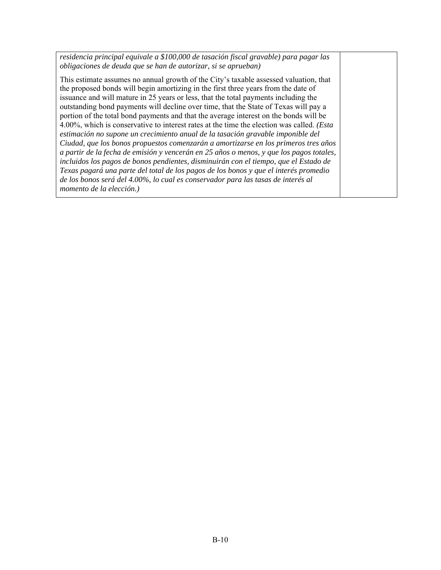*residencia principal equivale a \$100,000 de tasación fiscal gravable) para pagar las obligaciones de deuda que se han de autorizar, si se aprueban)* 

This estimate assumes no annual growth of the City's taxable assessed valuation, that the proposed bonds will begin amortizing in the first three years from the date of issuance and will mature in 25 years or less, that the total payments including the outstanding bond payments will decline over time, that the State of Texas will pay a portion of the total bond payments and that the average interest on the bonds will be 4.00%, which is conservative to interest rates at the time the election was called. *(Esta estimación no supone un crecimiento anual de la tasación gravable imponible del Ciudad, que los bonos propuestos comenzarán a amortizarse en los primeros tres años a partir de la fecha de emisión y vencerán en 25 años o menos, y que los pagos totales, incluidos los pagos de bonos pendientes, disminuirán con el tiempo, que el Estado de Texas pagará una parte del total de los pagos de los bonos y que el interés promedio de los bonos será del 4.00%, lo cual es conservador para las tasas de interés al momento de la elección.)*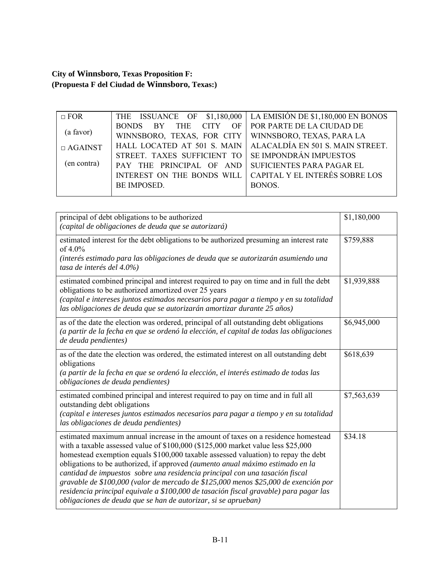**City of Winnsboro, Texas Proposition F: (Propuesta F del Ciudad de Winnsboro, Texas:)** 

| $\Box$ FOR     |                                                        | THE ISSUANCE OF \$1,180,000 LA EMISIÓN DE \$1,180,000 EN BONOS |
|----------------|--------------------------------------------------------|----------------------------------------------------------------|
|                | BONDS BY THE CITY OF POR PARTE DE LA CIUDAD DE         |                                                                |
| (a favor)      | WINNSBORO, TEXAS, FOR CITY   WINNSBORO, TEXAS, PARA LA |                                                                |
| $\Box$ AGAINST |                                                        | HALL LOCATED AT 501 S. MAIN   ALACALDÍA EN 501 S. MAIN STREET. |
|                | STREET. TAXES SUFFICIENT TO   SE IMPONDRÁN IMPUESTOS   |                                                                |
| (en contra)    | PAY THE PRINCIPAL OF AND SUFICIENTES PARA PAGAR EL     |                                                                |
|                | INTEREST ON THE BONDS WILL                             | CAPITAL Y EL INTERÉS SOBRE LOS                                 |
|                | BE IMPOSED.                                            | BONOS.                                                         |
|                |                                                        |                                                                |

| principal of debt obligations to be authorized<br>(capital de obligaciones de deuda que se autorizará)                                                                                                                                                                                                                                                                                                                                                                                                                                                                                                                                                                          | \$1,180,000 |
|---------------------------------------------------------------------------------------------------------------------------------------------------------------------------------------------------------------------------------------------------------------------------------------------------------------------------------------------------------------------------------------------------------------------------------------------------------------------------------------------------------------------------------------------------------------------------------------------------------------------------------------------------------------------------------|-------------|
| estimated interest for the debt obligations to be authorized presuming an interest rate<br>of 4.0%<br>(interés estimado para las obligaciones de deuda que se autorizarán asumiendo una<br>tasa de interés del 4.0%)                                                                                                                                                                                                                                                                                                                                                                                                                                                            | \$759,888   |
| estimated combined principal and interest required to pay on time and in full the debt<br>obligations to be authorized amortized over 25 years<br>(capital e intereses juntos estimados necesarios para pagar a tiempo y en su totalidad<br>las obligaciones de deuda que se autorizarán amortizar durante 25 años)                                                                                                                                                                                                                                                                                                                                                             | \$1,939,888 |
| as of the date the election was ordered, principal of all outstanding debt obligations<br>(a partir de la fecha en que se ordenó la elección, el capital de todas las obligaciones<br>de deuda pendientes)                                                                                                                                                                                                                                                                                                                                                                                                                                                                      | \$6,945,000 |
| as of the date the election was ordered, the estimated interest on all outstanding debt<br>obligations<br>(a partir de la fecha en que se ordenó la elección, el interés estimado de todas las<br>obligaciones de deuda pendientes)                                                                                                                                                                                                                                                                                                                                                                                                                                             | \$618,639   |
| estimated combined principal and interest required to pay on time and in full all<br>outstanding debt obligations<br>(capital e intereses juntos estimados necesarios para pagar a tiempo y en su totalidad<br>las obligaciones de deuda pendientes)                                                                                                                                                                                                                                                                                                                                                                                                                            | \$7,563,639 |
| estimated maximum annual increase in the amount of taxes on a residence homestead<br>with a taxable assessed value of \$100,000 (\$125,000 market value less \$25,000<br>homestead exemption equals \$100,000 taxable assessed valuation) to repay the debt<br>obligations to be authorized, if approved (aumento anual máximo estimado en la<br>cantidad de impuestos sobre una residencia principal con una tasación fiscal<br>gravable de \$100,000 (valor de mercado de \$125,000 menos \$25,000 de exención por<br>residencia principal equivale a \$100,000 de tasación fiscal gravable) para pagar las<br>obligaciones de deuda que se han de autorizar, si se aprueban) | \$34.18     |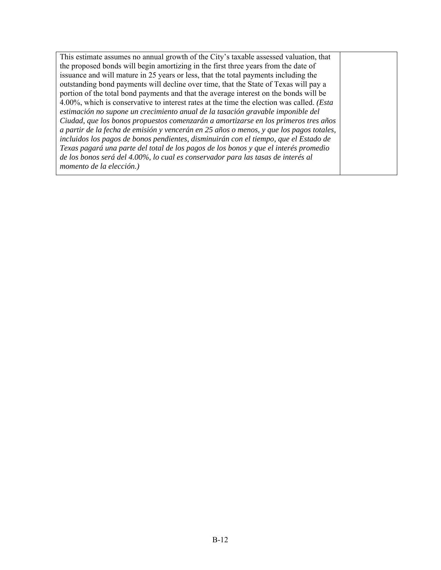This estimate assumes no annual growth of the City's taxable assessed valuation, that the proposed bonds will begin amortizing in the first three years from the date of issuance and will mature in 25 years or less, that the total payments including the outstanding bond payments will decline over time, that the State of Texas will pay a portion of the total bond payments and that the average interest on the bonds will be 4.00%, which is conservative to interest rates at the time the election was called. *(Esta estimación no supone un crecimiento anual de la tasación gravable imponible del Ciudad, que los bonos propuestos comenzarán a amortizarse en los primeros tres años a partir de la fecha de emisión y vencerán en 25 años o menos, y que los pagos totales, incluidos los pagos de bonos pendientes, disminuirán con el tiempo, que el Estado de Texas pagará una parte del total de los pagos de los bonos y que el interés promedio de los bonos será del 4.00%, lo cual es conservador para las tasas de interés al momento de la elección.)*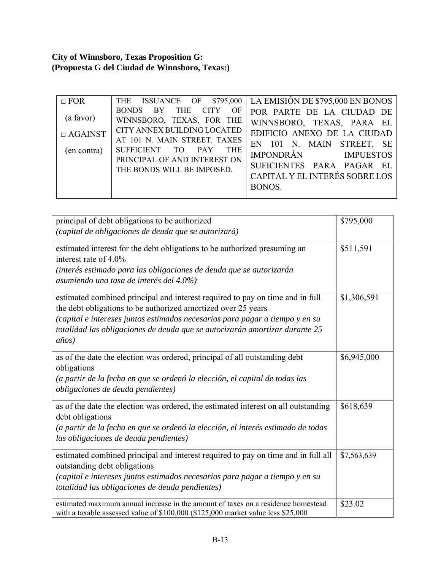# **City of Winnsboro, Texas Proposition G: (Propuesta G del Ciudad de Winnsboro, Texas:)**

| $\Box$ FOR<br>(a favor)<br>$\Box$ AGAINST<br>(en contra) | <b>ISSUANCE OF \$795,000</b><br>THE<br>THE<br>CITY<br><b>BONDS</b><br>BY<br>OF<br>WINNSBORO, TEXAS, FOR THE<br>CITY ANNEX BUILDING LOCATED<br>AT 101 N. MAIN STREET. TAXES<br>SUFFICIENT TO PAY<br><b>THE</b><br>PRINCIPAL OF AND INTEREST ON<br>THE BONDS WILL BE IMPOSED. | LA EMISIÓN DE \$795,000 EN BONOS<br>POR PARTE DE LA CIUDAD DE<br>WINNSBORO, TEXAS, PARA EL<br>EDIFICIO ANEXO DE LA CIUDAD<br>EN 101 N. MAIN STREET. SE<br>IMPONDRÁN IMPUESTOS<br>SUFICIENTES PARA PAGAR EL |
|----------------------------------------------------------|-----------------------------------------------------------------------------------------------------------------------------------------------------------------------------------------------------------------------------------------------------------------------------|------------------------------------------------------------------------------------------------------------------------------------------------------------------------------------------------------------|
|                                                          |                                                                                                                                                                                                                                                                             | CAPITAL Y EL INTERÉS SOBRE LOS<br>BONOS.                                                                                                                                                                   |

| principal of debt obligations to be authorized<br>(capital de obligaciones de deuda que se autorizará)                                                                                                                                                                                                                            | \$795,000   |
|-----------------------------------------------------------------------------------------------------------------------------------------------------------------------------------------------------------------------------------------------------------------------------------------------------------------------------------|-------------|
| estimated interest for the debt obligations to be authorized presuming an<br>interest rate of $4.0\%$<br>(interés estimado para las obligaciones de deuda que se autorizarán<br>asumiendo una tasa de interés del 4.0%)                                                                                                           | \$511,591   |
| estimated combined principal and interest required to pay on time and in full<br>the debt obligations to be authorized amortized over 25 years<br>(capital e intereses juntos estimados necesarios para pagar a tiempo y en su<br>totalidad las obligaciones de deuda que se autorizarán amortizar durante 25<br>$a\tilde{n}$ os) | \$1,306,591 |
| as of the date the election was ordered, principal of all outstanding debt<br>obligations<br>(a partir de la fecha en que se ordenó la elección, el capital de todas las<br>obligaciones de deuda pendientes)                                                                                                                     | \$6,945,000 |
| as of the date the election was ordered, the estimated interest on all outstanding<br>debt obligations<br>(a partir de la fecha en que se ordenó la elección, el interés estimado de todas<br>las obligaciones de deuda pendientes)                                                                                               | \$618,639   |
| estimated combined principal and interest required to pay on time and in full all<br>outstanding debt obligations<br>(capital e intereses juntos estimados necesarios para pagar a tiempo y en su<br>totalidad las obligaciones de deuda pendientes)                                                                              | \$7,563,639 |
| estimated maximum annual increase in the amount of taxes on a residence homestead<br>with a taxable assessed value of \$100,000 (\$125,000 market value less \$25,000                                                                                                                                                             | \$23.02     |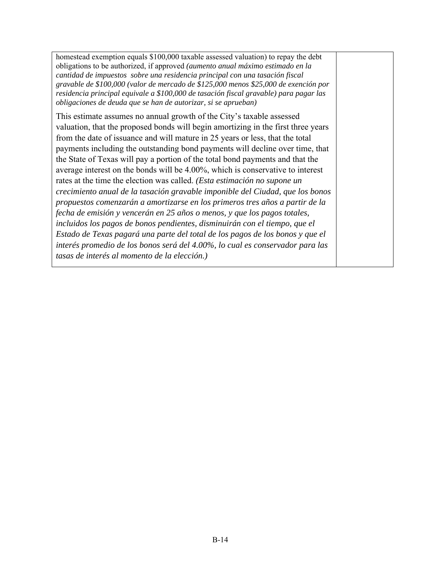homestead exemption equals \$100,000 taxable assessed valuation) to repay the debt obligations to be authorized, if approved *(aumento anual máximo estimado en la cantidad de impuestos sobre una residencia principal con una tasación fiscal gravable de \$100,000 (valor de mercado de \$125,000 menos \$25,000 de exención por residencia principal equivale a \$100,000 de tasación fiscal gravable) para pagar las obligaciones de deuda que se han de autorizar, si se aprueban)* 

This estimate assumes no annual growth of the City's taxable assessed valuation, that the proposed bonds will begin amortizing in the first three years from the date of issuance and will mature in 25 years or less, that the total payments including the outstanding bond payments will decline over time, that the State of Texas will pay a portion of the total bond payments and that the average interest on the bonds will be 4.00%, which is conservative to interest rates at the time the election was called. *(Esta estimación no supone un crecimiento anual de la tasación gravable imponible del Ciudad, que los bonos propuestos comenzarán a amortizarse en los primeros tres años a partir de la fecha de emisión y vencerán en 25 años o menos, y que los pagos totales, incluidos los pagos de bonos pendientes, disminuirán con el tiempo, que el Estado de Texas pagará una parte del total de los pagos de los bonos y que el interés promedio de los bonos será del 4.00%, lo cual es conservador para las tasas de interés al momento de la elección.)*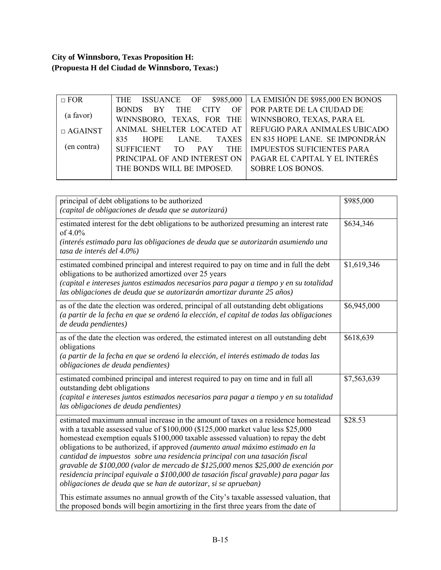# **City of Winnsboro, Texas Proposition H: (Propuesta H del Ciudad de Winnsboro, Texas:)**

| $\Box$ FOR     | <b>THE</b>                                | ISSUANCE OF $$985,000$ LA EMISIÓN DE $$985,000$ EN BONOS  |
|----------------|-------------------------------------------|-----------------------------------------------------------|
|                | THE CITY<br><b>BONDS</b><br><b>BY</b>     | OF   POR PARTE DE LA CIUDAD DE                            |
| (a favor)      | WINNSBORO, TEXAS, FOR THE                 | WINNSBORO, TEXAS, PARA EL                                 |
| $\Box$ AGAINST |                                           | ANIMAL SHELTER LOCATED AT   REFUGIO PARA ANIMALES UBICADO |
|                | LANE TAXES<br>835<br><b>HOPE</b>          | EN 835 HOPE LANE. SE IMPONDRÁN                            |
| (en contra)    | SUFFICIENT TO<br><b>THE</b><br><b>PAY</b> | <b>IMPUESTOS SUFICIENTES PARA</b>                         |
|                | PRINCIPAL OF AND INTEREST ON              | PAGAR EL CAPITAL Y EL INTERÉS                             |
|                | THE BONDS WILL BE IMPOSED.                | SOBRE LOS BONOS.                                          |
|                |                                           |                                                           |

| principal of debt obligations to be authorized<br>(capital de obligaciones de deuda que se autorizará)                                                                                                                                                                                                                                                                                                                                                                                                                                                                                                                                                                          | \$985,000   |
|---------------------------------------------------------------------------------------------------------------------------------------------------------------------------------------------------------------------------------------------------------------------------------------------------------------------------------------------------------------------------------------------------------------------------------------------------------------------------------------------------------------------------------------------------------------------------------------------------------------------------------------------------------------------------------|-------------|
| estimated interest for the debt obligations to be authorized presuming an interest rate<br>of 4.0%<br>(interés estimado para las obligaciones de deuda que se autorizarán asumiendo una<br>tasa de interés del 4.0%)                                                                                                                                                                                                                                                                                                                                                                                                                                                            | \$634,346   |
| estimated combined principal and interest required to pay on time and in full the debt<br>obligations to be authorized amortized over 25 years<br>(capital e intereses juntos estimados necesarios para pagar a tiempo y en su totalidad<br>las obligaciones de deuda que se autorizarán amortizar durante 25 años)                                                                                                                                                                                                                                                                                                                                                             | \$1,619,346 |
| as of the date the election was ordered, principal of all outstanding debt obligations<br>(a partir de la fecha en que se ordenó la elección, el capital de todas las obligaciones<br>de deuda pendientes)                                                                                                                                                                                                                                                                                                                                                                                                                                                                      | \$6,945,000 |
| as of the date the election was ordered, the estimated interest on all outstanding debt<br>obligations<br>(a partir de la fecha en que se ordenó la elección, el interés estimado de todas las<br>obligaciones de deuda pendientes)                                                                                                                                                                                                                                                                                                                                                                                                                                             | \$618,639   |
| estimated combined principal and interest required to pay on time and in full all<br>outstanding debt obligations<br>(capital e intereses juntos estimados necesarios para pagar a tiempo y en su totalidad<br>las obligaciones de deuda pendientes)                                                                                                                                                                                                                                                                                                                                                                                                                            | \$7,563,639 |
| estimated maximum annual increase in the amount of taxes on a residence homestead<br>with a taxable assessed value of \$100,000 (\$125,000 market value less \$25,000<br>homestead exemption equals \$100,000 taxable assessed valuation) to repay the debt<br>obligations to be authorized, if approved (aumento anual máximo estimado en la<br>cantidad de impuestos sobre una residencia principal con una tasación fiscal<br>gravable de \$100,000 (valor de mercado de \$125,000 menos \$25,000 de exención por<br>residencia principal equivale a \$100,000 de tasación fiscal gravable) para pagar las<br>obligaciones de deuda que se han de autorizar, si se aprueban) | \$28.53     |
| This estimate assumes no annual growth of the City's taxable assessed valuation, that<br>the proposed bonds will begin amortizing in the first three years from the date of                                                                                                                                                                                                                                                                                                                                                                                                                                                                                                     |             |